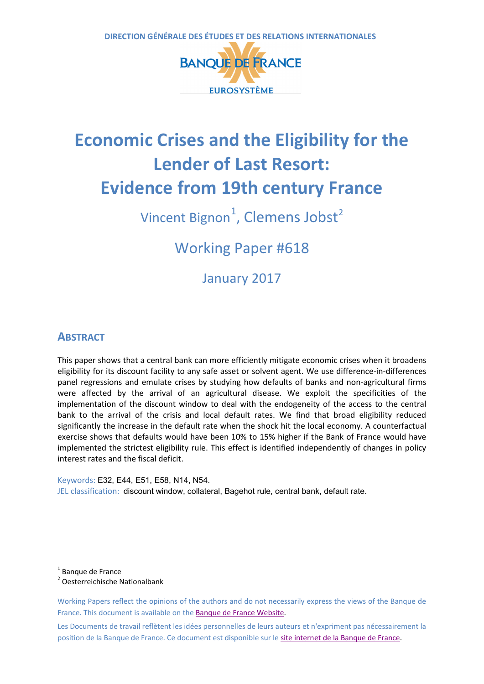

# **Economic Crises and the Eligibility for the Lender of Last Resort: Evidence from 19th century France**

Vincent Bignon<sup>[1](#page-0-0)</sup>, Clemens Jobst<sup>[2](#page-0-1)</sup>

Working Paper #618

January 2017

# **ABSTRACT**

This paper shows that a central bank can more efficiently mitigate economic crises when it broadens eligibility for its discount facility to any safe asset or solvent agent. We use difference-in-differences panel regressions and emulate crises by studying how defaults of banks and non-agricultural firms were affected by the arrival of an agricultural disease. We exploit the specificities of the implementation of the discount window to deal with the endogeneity of the access to the central bank to the arrival of the crisis and local default rates. We find that broad eligibility reduced significantly the increase in the default rate when the shock hit the local economy. A counterfactual exercise shows that defaults would have been 10% to 15% higher if the Bank of France would have implemented the strictest eligibility rule. This effect is identified independently of changes in policy interest rates and the fiscal deficit.

Keywords: E32, E44, E51, E58, N14, N54. JEL classification: discount window, collateral, Bagehot rule, central bank, default rate.

<span id="page-0-1"></span>

<span id="page-0-2"></span> $\overline{a}$ 

<span id="page-0-0"></span><sup>1</sup> Banque de France<br><sup>2</sup> Oesterreichische Nationalbank

Working Papers reflect the opinions of the authors and do not necessarily express the views of the Banque de France. This document is available on the [Banque de France Website.](https://www.banque-france.fr/en)

Les Documents de travail reflètent les idées personnelles de leurs auteurs et n'expriment pas nécessairement la position de la Banque de France. Ce document est disponible sur le [site internet de la Banque de France.](http://www.banque-france.fr/)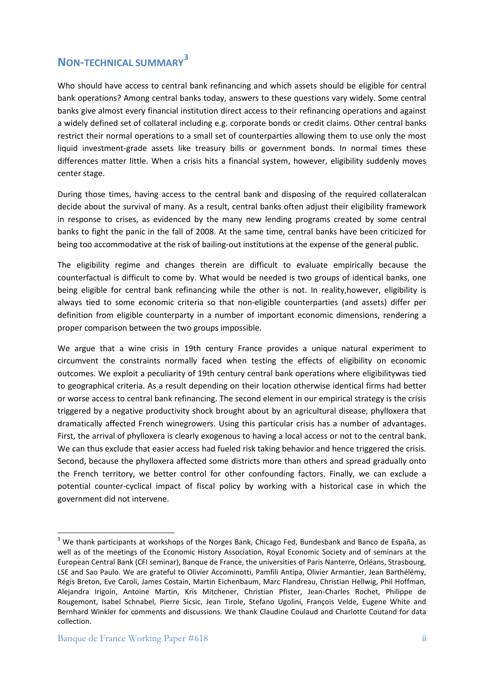# **NON-TECHNICAL SUMMARY[3](#page-0-2)**

Who should have access to central bank refinancing and which assets should be eligible for central bank operations? Among central banks today, answers to these questions vary widely. Some central banks give almost every financial institution direct access to their refinancing operations and against a widely defined set of collateral including e.g. corporate bonds or credit claims. Other central banks restrict their normal operations to a small set of counterparties allowing them to use only the most liquid investment-grade assets like treasury bills or government bonds. In normal times these differences matter little. When a crisis hits a financial system, however, eligibility suddenly moves center stage.

During those times, having access to the central bank and disposing of the required collateralcan decide about the survival of many. As a result, central banks often adjust their eligibility framework in response to crises, as evidenced by the many new lending programs created by some central banks to fight the panic in the fall of 2008. At the same time, central banks have been criticized for being too accommodative at the risk of bailing-out institutions at the expense of the general public.

The eligibility regime and changes therein are difficult to evaluate empirically because the counterfactual is difficult to come by. What would be needed is two groups of identical banks, one being eligible for central bank refinancing while the other is not. In reality,however, eligibility is always tied to some economic criteria so that non-eligible counterparties (and assets) differ per definition from eligible counterparty in a number of important economic dimensions, rendering a proper comparison between the two groups impossible.

We argue that a wine crisis in 19th century France provides a unique natural experiment to circumvent the constraints normally faced when testing the effects of eligibility on economic outcomes. We exploit a peculiarity of 19th century central bank operations where eligibilitywas tied to geographical criteria. As a result depending on their location otherwise identical firms had better or worse access to central bank refinancing. The second element in our empirical strategy is the crisis triggered by a negative productivity shock brought about by an agricultural disease, phylloxera that dramatically affected French winegrowers. Using this particular crisis has a number of advantages. First, the arrival of phylloxera is clearly exogenous to having a local access or not to the central bank. We can thus exclude that easier access had fueled risk taking behavior and hence triggered the crisis. Second, because the phylloxera affected some districts more than others and spread gradually onto the French territory, we better control for other confounding factors. Finally, we can exclude a potential counter-cyclical impact of fiscal policy by working with a historical case in which the government did not intervene.

<sup>&</sup>lt;sup>3</sup> We thank participants at workshops of the Norges Bank, Chicago Fed, Bundesbank and Banco de España, as well as of the meetings of the Economic History Association, Royal Economic Society and of seminars at the European Central Bank (CFI seminar), Banque de France, the universities of Paris Nanterre, Orléans, Strasbourg, LSE and Sao Paulo. We are grateful to Olivier Accominotti, Pamfili Antipa, Olivier Armantier, Jean Barthélémy, Régis Breton, Eve Caroli, James Costain, Martin Eichenbaum, Marc Flandreau, Christian Hellwig, Phil Hoffman, Alejandra Irigoin, Antoine Martin, Kris Mitchener, Christian Pfister, Jean-Charles Rochet, Philippe de Rougemont, Isabel Schnabel, Pierre Sicsic, Jean Tirole, Stefano Ugolini, François Velde, Eugene White and Bernhard Winkler for comments and discussions. We thank Claudine Coulaud and Charlotte Coutand for data collection.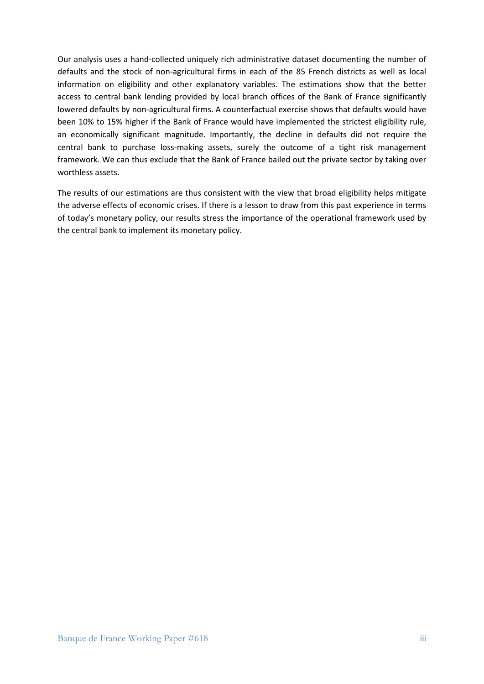Our analysis uses a hand-collected uniquely rich administrative dataset documenting the number of defaults and the stock of non-agricultural firms in each of the 85 French districts as well as local information on eligibility and other explanatory variables. The estimations show that the better access to central bank lending provided by local branch offices of the Bank of France significantly lowered defaults by non-agricultural firms. A counterfactual exercise shows that defaults would have been 10% to 15% higher if the Bank of France would have implemented the strictest eligibility rule, an economically significant magnitude. Importantly, the decline in defaults did not require the central bank to purchase loss-making assets, surely the outcome of a tight risk management framework. We can thus exclude that the Bank of France bailed out the private sector by taking over worthless assets.

The results of our estimations are thus consistent with the view that broad eligibility helps mitigate the adverse effects of economic crises. If there is a lesson to draw from this past experience in terms of today's monetary policy, our results stress the importance of the operational framework used by the central bank to implement its monetary policy.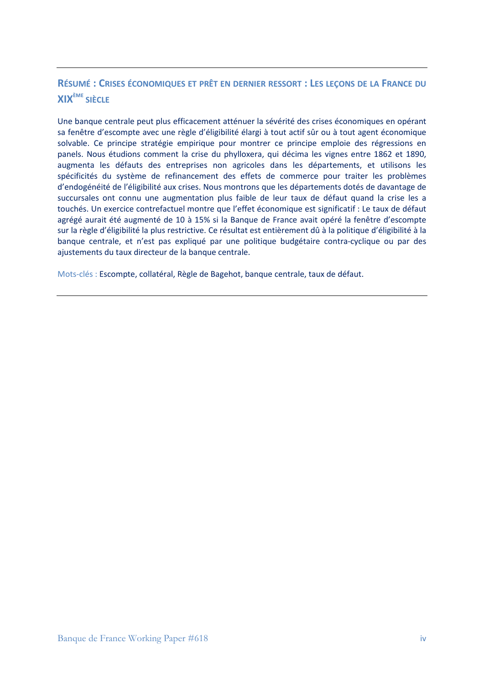# **RÉSUMÉ : CRISES ÉCONOMIQUES ET PRÊT EN DERNIER RESSORT : LES LEÇONS DE LA FRANCE DU XIXÈME SIÈCLE**

Une banque centrale peut plus efficacement atténuer la sévérité des crises économiques en opérant sa fenêtre d'escompte avec une règle d'éligibilité élargi à tout actif sûr ou à tout agent économique solvable. Ce principe stratégie empirique pour montrer ce principe emploie des régressions en panels. Nous étudions comment la crise du phylloxera, qui décima les vignes entre 1862 et 1890, augmenta les défauts des entreprises non agricoles dans les départements, et utilisons les spécificités du système de refinancement des effets de commerce pour traiter les problèmes d'endogénéité de l'éligibilité aux crises. Nous montrons que les départements dotés de davantage de succursales ont connu une augmentation plus faible de leur taux de défaut quand la crise les a touchés. Un exercice contrefactuel montre que l'effet économique est significatif : Le taux de défaut agrégé aurait été augmenté de 10 à 15% si la Banque de France avait opéré la fenêtre d'escompte sur la règle d'éligibilité la plus restrictive. Ce résultat est entièrement dû à la politique d'éligibilité à la banque centrale, et n'est pas expliqué par une politique budgétaire contra-cyclique ou par des ajustements du taux directeur de la banque centrale.

Mots-clés : Escompte, collatéral, Règle de Bagehot, banque centrale, taux de défaut.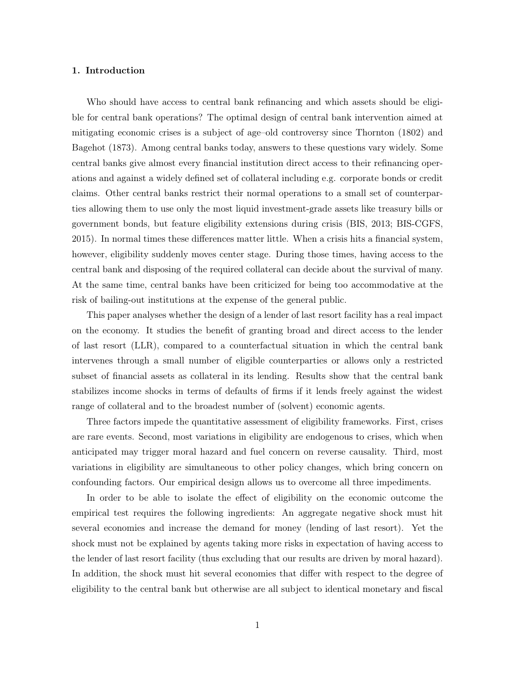# 1. Introduction

Who should have access to central bank refinancing and which assets should be eligible for central bank operations? The optimal design of central bank intervention aimed at mitigating economic crises is a subject of age–old controversy since Thornton (1802) and Bagehot (1873). Among central banks today, answers to these questions vary widely. Some central banks give almost every financial institution direct access to their refinancing operations and against a widely defined set of collateral including e.g. corporate bonds or credit claims. Other central banks restrict their normal operations to a small set of counterparties allowing them to use only the most liquid investment-grade assets like treasury bills or government bonds, but feature eligibility extensions during crisis (BIS, 2013; BIS-CGFS, 2015). In normal times these differences matter little. When a crisis hits a financial system, however, eligibility suddenly moves center stage. During those times, having access to the central bank and disposing of the required collateral can decide about the survival of many. At the same time, central banks have been criticized for being too accommodative at the risk of bailing-out institutions at the expense of the general public.

This paper analyses whether the design of a lender of last resort facility has a real impact on the economy. It studies the benefit of granting broad and direct access to the lender of last resort (LLR), compared to a counterfactual situation in which the central bank intervenes through a small number of eligible counterparties or allows only a restricted subset of financial assets as collateral in its lending. Results show that the central bank stabilizes income shocks in terms of defaults of firms if it lends freely against the widest range of collateral and to the broadest number of (solvent) economic agents.

Three factors impede the quantitative assessment of eligibility frameworks. First, crises are rare events. Second, most variations in eligibility are endogenous to crises, which when anticipated may trigger moral hazard and fuel concern on reverse causality. Third, most variations in eligibility are simultaneous to other policy changes, which bring concern on confounding factors. Our empirical design allows us to overcome all three impediments.

In order to be able to isolate the effect of eligibility on the economic outcome the empirical test requires the following ingredients: An aggregate negative shock must hit several economies and increase the demand for money (lending of last resort). Yet the shock must not be explained by agents taking more risks in expectation of having access to the lender of last resort facility (thus excluding that our results are driven by moral hazard). In addition, the shock must hit several economies that differ with respect to the degree of eligibility to the central bank but otherwise are all subject to identical monetary and fiscal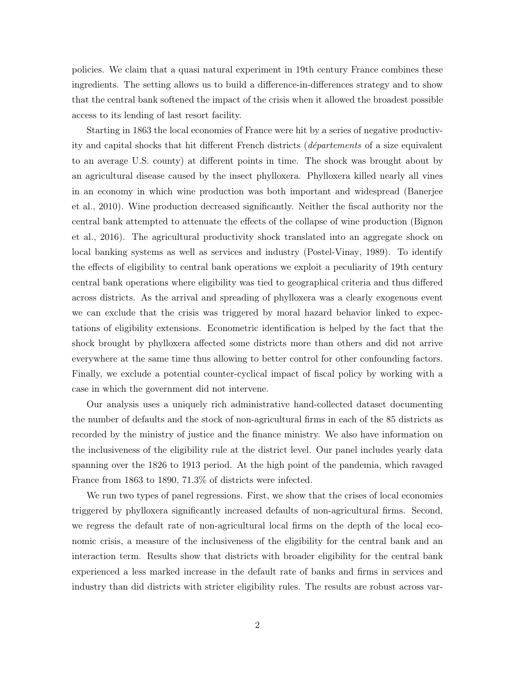policies. We claim that a quasi natural experiment in 19th century France combines these ingredients. The setting allows us to build a difference-in-differences strategy and to show that the central bank softened the impact of the crisis when it allowed the broadest possible access to its lending of last resort facility.

Starting in 1863 the local economies of France were hit by a series of negative productivity and capital shocks that hit different French districts (départements of a size equivalent to an average U.S. county) at different points in time. The shock was brought about by an agricultural disease caused by the insect phylloxera. Phylloxera killed nearly all vines in an economy in which wine production was both important and widespread (Banerjee et al., 2010). Wine production decreased significantly. Neither the fiscal authority nor the central bank attempted to attenuate the effects of the collapse of wine production (Bignon et al., 2016). The agricultural productivity shock translated into an aggregate shock on local banking systems as well as services and industry (Postel-Vinay, 1989). To identify the effects of eligibility to central bank operations we exploit a peculiarity of 19th century central bank operations where eligibility was tied to geographical criteria and thus differed across districts. As the arrival and spreading of phylloxera was a clearly exogenous event we can exclude that the crisis was triggered by moral hazard behavior linked to expectations of eligibility extensions. Econometric identification is helped by the fact that the shock brought by phylloxera affected some districts more than others and did not arrive everywhere at the same time thus allowing to better control for other confounding factors. Finally, we exclude a potential counter-cyclical impact of fiscal policy by working with a case in which the government did not intervene.

Our analysis uses a uniquely rich administrative hand-collected dataset documenting the number of defaults and the stock of non-agricultural firms in each of the 85 districts as recorded by the ministry of justice and the finance ministry. We also have information on the inclusiveness of the eligibility rule at the district level. Our panel includes yearly data spanning over the 1826 to 1913 period. At the high point of the pandemia, which ravaged France from 1863 to 1890, 71.3% of districts were infected.

We run two types of panel regressions. First, we show that the crises of local economies triggered by phylloxera significantly increased defaults of non-agricultural firms. Second, we regress the default rate of non-agricultural local firms on the depth of the local economic crisis, a measure of the inclusiveness of the eligibility for the central bank and an interaction term. Results show that districts with broader eligibility for the central bank experienced a less marked increase in the default rate of banks and firms in services and industry than did districts with stricter eligibility rules. The results are robust across var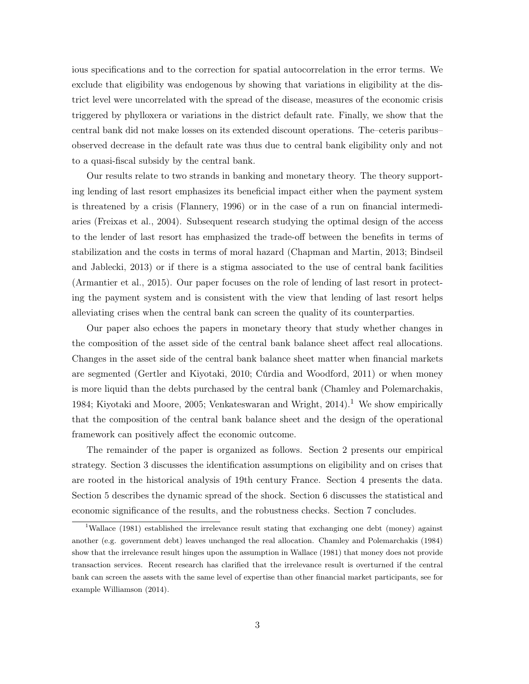ious specifications and to the correction for spatial autocorrelation in the error terms. We exclude that eligibility was endogenous by showing that variations in eligibility at the district level were uncorrelated with the spread of the disease, measures of the economic crisis triggered by phylloxera or variations in the district default rate. Finally, we show that the central bank did not make losses on its extended discount operations. The–ceteris paribus– observed decrease in the default rate was thus due to central bank eligibility only and not to a quasi-fiscal subsidy by the central bank.

Our results relate to two strands in banking and monetary theory. The theory supporting lending of last resort emphasizes its beneficial impact either when the payment system is threatened by a crisis (Flannery, 1996) or in the case of a run on financial intermediaries (Freixas et al., 2004). Subsequent research studying the optimal design of the access to the lender of last resort has emphasized the trade-off between the benefits in terms of stabilization and the costs in terms of moral hazard (Chapman and Martin, 2013; Bindseil and Jablecki, 2013) or if there is a stigma associated to the use of central bank facilities (Armantier et al., 2015). Our paper focuses on the role of lending of last resort in protecting the payment system and is consistent with the view that lending of last resort helps alleviating crises when the central bank can screen the quality of its counterparties.

Our paper also echoes the papers in monetary theory that study whether changes in the composition of the asset side of the central bank balance sheet affect real allocations. Changes in the asset side of the central bank balance sheet matter when financial markets are segmented (Gertler and Kiyotaki, 2010; Cúrdia and Woodford, 2011) or when money is more liquid than the debts purchased by the central bank (Chamley and Polemarchakis, 1984; Kiyotaki and Moore, 2005; Venkateswaran and Wright,  $2014$ .<sup>1</sup> We show empirically that the composition of the central bank balance sheet and the design of the operational framework can positively affect the economic outcome.

The remainder of the paper is organized as follows. Section 2 presents our empirical strategy. Section 3 discusses the identification assumptions on eligibility and on crises that are rooted in the historical analysis of 19th century France. Section 4 presents the data. Section 5 describes the dynamic spread of the shock. Section 6 discusses the statistical and economic significance of the results, and the robustness checks. Section 7 concludes.

<sup>&</sup>lt;sup>1</sup>Wallace (1981) established the irrelevance result stating that exchanging one debt (money) against another (e.g. government debt) leaves unchanged the real allocation. Chamley and Polemarchakis (1984) show that the irrelevance result hinges upon the assumption in Wallace (1981) that money does not provide transaction services. Recent research has clarified that the irrelevance result is overturned if the central bank can screen the assets with the same level of expertise than other financial market participants, see for example Williamson (2014).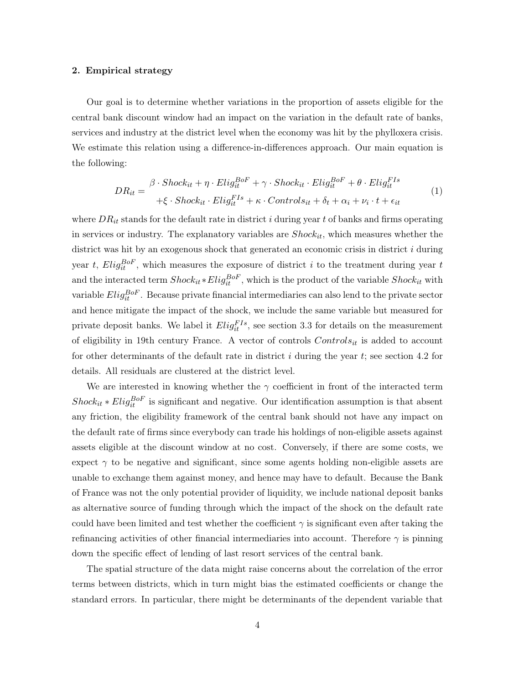# 2. Empirical strategy

Our goal is to determine whether variations in the proportion of assets eligible for the central bank discount window had an impact on the variation in the default rate of banks, services and industry at the district level when the economy was hit by the phylloxera crisis. We estimate this relation using a difference-in-differences approach. Our main equation is the following:

$$
DR_{it} = \frac{\beta \cdot Shock_{it} + \eta \cdot Elizabeth_{it}^{BoF} + \gamma \cdot Shock_{it} \cdot Elizabeth_{it}^{BoF} + \theta \cdot Elizabeth_{it}^{FIs}}{+\xi \cdot Shock_{it} \cdot Elizabeth_{it} + \kappa \cdot Controls_{it} + \delta_{t} + \alpha_{i} + \nu_{i} \cdot t + \epsilon_{it}}
$$
(1)

where  $DR_{it}$  stands for the default rate in district i during year t of banks and firms operating in services or industry. The explanatory variables are  $Shock_{it}$ , which measures whether the district was hit by an exogenous shock that generated an economic crisis in district  $i$  during year t,  $Elig_{it}^{BoF}$ , which measures the exposure of district i to the treatment during year t and the interacted term  $Shock_{it} * Elig_{it}^{BoF}$ , which is the product of the variable  $Shock_{it}$  with variable  $Elig_{it}^{BoF}$ . Because private financial intermediaries can also lend to the private sector and hence mitigate the impact of the shock, we include the same variable but measured for private deposit banks. We label it  $Elig_{it}^{FIs}$ , see section 3.3 for details on the measurement of eligibility in 19th century France. A vector of controls  $Control_{it}$  is added to account for other determinants of the default rate in district  $i$  during the year  $t$ ; see section 4.2 for details. All residuals are clustered at the district level.

We are interested in knowing whether the  $\gamma$  coefficient in front of the interacted term  $Short_{it} * Eli_{it}^{BoF}$  is significant and negative. Our identification assumption is that absent any friction, the eligibility framework of the central bank should not have any impact on the default rate of firms since everybody can trade his holdings of non-eligible assets against assets eligible at the discount window at no cost. Conversely, if there are some costs, we expect  $\gamma$  to be negative and significant, since some agents holding non-eligible assets are unable to exchange them against money, and hence may have to default. Because the Bank of France was not the only potential provider of liquidity, we include national deposit banks as alternative source of funding through which the impact of the shock on the default rate could have been limited and test whether the coefficient  $\gamma$  is significant even after taking the refinancing activities of other financial intermediaries into account. Therefore  $\gamma$  is pinning down the specific effect of lending of last resort services of the central bank.

The spatial structure of the data might raise concerns about the correlation of the error terms between districts, which in turn might bias the estimated coefficients or change the standard errors. In particular, there might be determinants of the dependent variable that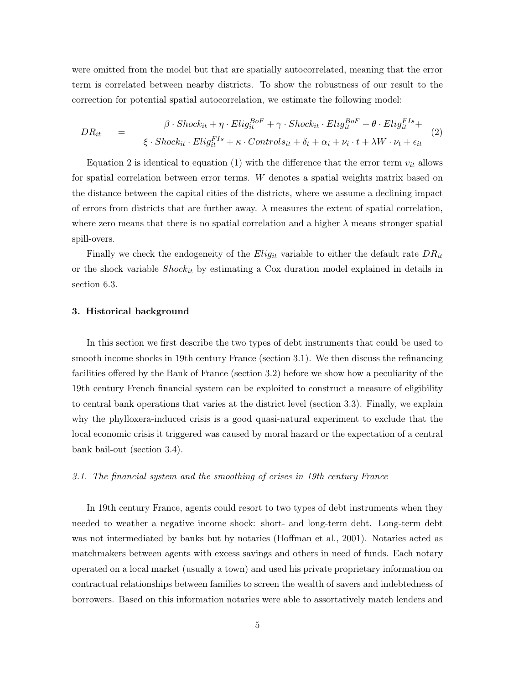were omitted from the model but that are spatially autocorrelated, meaning that the error term is correlated between nearby districts. To show the robustness of our result to the correction for potential spatial autocorrelation, we estimate the following model:

$$
DR_{it} = \beta \cdot Shock_{it} + \eta \cdot Elizabeth_{it}^{Bof} + \gamma \cdot Shock_{it} \cdot Elizabeth_{it}^{Bof} + \theta \cdot Elizabeth_{it}^{FIs} + \xi \cdot Shock_{it} \cdot Elizabeth_{it} + \delta_{t} + \alpha_{i} + \nu_{i} \cdot t + \lambda W \cdot \nu_{t} + \epsilon_{it}
$$
\n
$$
(2)
$$

Equation 2 is identical to equation (1) with the difference that the error term  $v_{it}$  allows for spatial correlation between error terms. W denotes a spatial weights matrix based on the distance between the capital cities of the districts, where we assume a declining impact of errors from districts that are further away.  $\lambda$  measures the extent of spatial correlation, where zero means that there is no spatial correlation and a higher  $\lambda$  means stronger spatial spill-overs.

Finally we check the endogeneity of the  $Elig_{it}$  variable to either the default rate  $DR_{it}$ or the shock variable  $Shock_{it}$  by estimating a Cox duration model explained in details in section 6.3.

#### 3. Historical background

In this section we first describe the two types of debt instruments that could be used to smooth income shocks in 19th century France (section 3.1). We then discuss the refinancing facilities offered by the Bank of France (section 3.2) before we show how a peculiarity of the 19th century French financial system can be exploited to construct a measure of eligibility to central bank operations that varies at the district level (section 3.3). Finally, we explain why the phylloxera-induced crisis is a good quasi-natural experiment to exclude that the local economic crisis it triggered was caused by moral hazard or the expectation of a central bank bail-out (section 3.4).

#### 3.1. The financial system and the smoothing of crises in 19th century France

In 19th century France, agents could resort to two types of debt instruments when they needed to weather a negative income shock: short- and long-term debt. Long-term debt was not intermediated by banks but by notaries (Hoffman et al., 2001). Notaries acted as matchmakers between agents with excess savings and others in need of funds. Each notary operated on a local market (usually a town) and used his private proprietary information on contractual relationships between families to screen the wealth of savers and indebtedness of borrowers. Based on this information notaries were able to assortatively match lenders and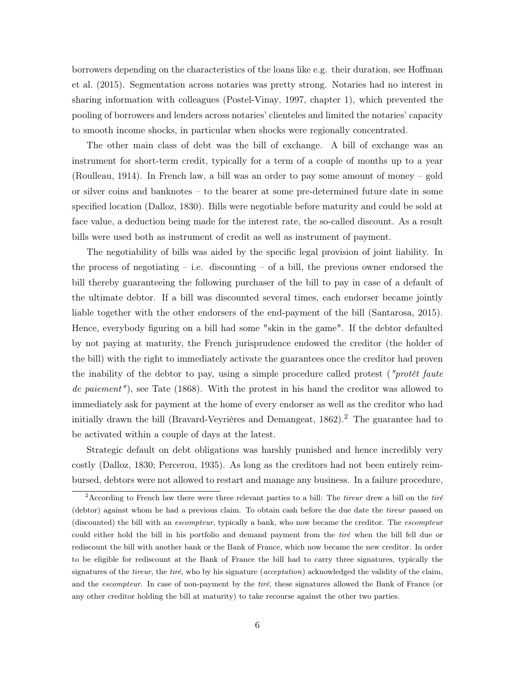borrowers depending on the characteristics of the loans like e.g. their duration, see Hoffman et al. (2015). Segmentation across notaries was pretty strong. Notaries had no interest in sharing information with colleagues (Postel-Vinay, 1997, chapter 1), which prevented the pooling of borrowers and lenders across notaries' clienteles and limited the notaries' capacity to smooth income shocks, in particular when shocks were regionally concentrated.

The other main class of debt was the bill of exchange. A bill of exchange was an instrument for short-term credit, typically for a term of a couple of months up to a year (Roulleau, 1914). In French law, a bill was an order to pay some amount of money – gold or silver coins and banknotes – to the bearer at some pre-determined future date in some specified location (Dalloz, 1830). Bills were negotiable before maturity and could be sold at face value, a deduction being made for the interest rate, the so-called discount. As a result bills were used both as instrument of credit as well as instrument of payment.

The negotiability of bills was aided by the specific legal provision of joint liability. In the process of negotiating  $-$  i.e. discounting  $-$  of a bill, the previous owner endorsed the bill thereby guaranteeing the following purchaser of the bill to pay in case of a default of the ultimate debtor. If a bill was discounted several times, each endorser became jointly liable together with the other endorsers of the end-payment of the bill (Santarosa, 2015). Hence, everybody figuring on a bill had some "skin in the game". If the debtor defaulted by not paying at maturity, the French jurisprudence endowed the creditor (the holder of the bill) with the right to immediately activate the guarantees once the creditor had proven the inability of the debtor to pay, using a simple procedure called protest ( $\eta$ rotêt faute de paiement"), see Tate (1868). With the protest in his hand the creditor was allowed to immediately ask for payment at the home of every endorser as well as the creditor who had initially drawn the bill (Bravard-Veyrières and Demangeat,  $1862$ ).<sup>2</sup> The guarantee had to be activated within a couple of days at the latest.

Strategic default on debt obligations was harshly punished and hence incredibly very costly (Dalloz, 1830; Percerou, 1935). As long as the creditors had not been entirely reimbursed, debtors were not allowed to restart and manage any business. In a failure procedure,

<sup>&</sup>lt;sup>2</sup> According to French law there were three relevant parties to a bill: The *tireur* drew a bill on the *tiré* (debtor) against whom he had a previous claim. To obtain cash before the due date the tireur passed on (discounted) the bill with an escompteur, typically a bank, who now became the creditor. The escompteur could either hold the bill in his portfolio and demand payment from the tiré when the bill fell due or rediscount the bill with another bank or the Bank of France, which now became the new creditor. In order to be eligible for rediscount at the Bank of France the bill had to carry three signatures, typically the signatures of the *tireur*, the tiré, who by his signature (*acceptation*) acknowledged the validity of the claim, and the escompteur. In case of non-payment by the tiré, these signatures allowed the Bank of France (or any other creditor holding the bill at maturity) to take recourse against the other two parties.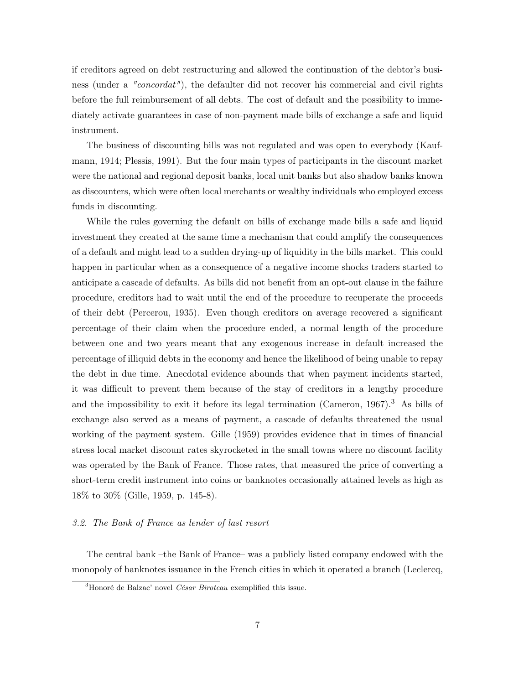if creditors agreed on debt restructuring and allowed the continuation of the debtor's business (under a "concordat"), the defaulter did not recover his commercial and civil rights before the full reimbursement of all debts. The cost of default and the possibility to immediately activate guarantees in case of non-payment made bills of exchange a safe and liquid instrument.

The business of discounting bills was not regulated and was open to everybody (Kaufmann, 1914; Plessis, 1991). But the four main types of participants in the discount market were the national and regional deposit banks, local unit banks but also shadow banks known as discounters, which were often local merchants or wealthy individuals who employed excess funds in discounting.

While the rules governing the default on bills of exchange made bills a safe and liquid investment they created at the same time a mechanism that could amplify the consequences of a default and might lead to a sudden drying-up of liquidity in the bills market. This could happen in particular when as a consequence of a negative income shocks traders started to anticipate a cascade of defaults. As bills did not benefit from an opt-out clause in the failure procedure, creditors had to wait until the end of the procedure to recuperate the proceeds of their debt (Percerou, 1935). Even though creditors on average recovered a significant percentage of their claim when the procedure ended, a normal length of the procedure between one and two years meant that any exogenous increase in default increased the percentage of illiquid debts in the economy and hence the likelihood of being unable to repay the debt in due time. Anecdotal evidence abounds that when payment incidents started, it was difficult to prevent them because of the stay of creditors in a lengthy procedure and the impossibility to exit it before its legal termination (Cameron, 1967).<sup>3</sup> As bills of exchange also served as a means of payment, a cascade of defaults threatened the usual working of the payment system. Gille (1959) provides evidence that in times of financial stress local market discount rates skyrocketed in the small towns where no discount facility was operated by the Bank of France. Those rates, that measured the price of converting a short-term credit instrument into coins or banknotes occasionally attained levels as high as 18% to 30% (Gille, 1959, p. 145-8).

# 3.2. The Bank of France as lender of last resort

The central bank –the Bank of France– was a publicly listed company endowed with the monopoly of banknotes issuance in the French cities in which it operated a branch (Leclercq,

 $3H$ onoré de Balzac' novel *César Biroteau* exemplified this issue.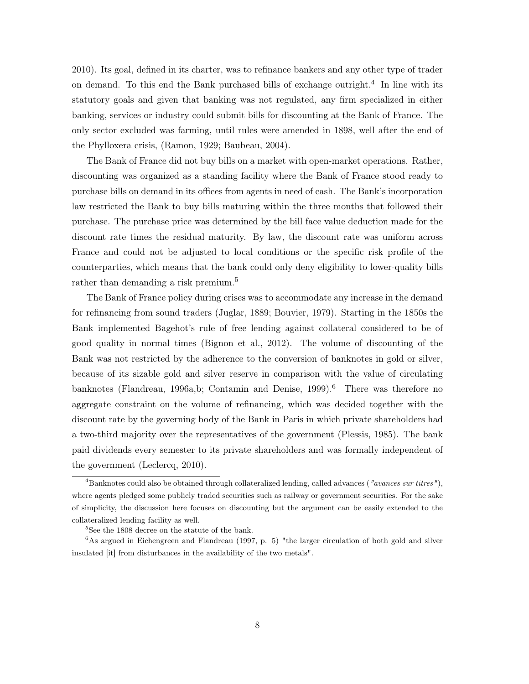2010). Its goal, defined in its charter, was to refinance bankers and any other type of trader on demand. To this end the Bank purchased bills of exchange outright.<sup>4</sup> In line with its statutory goals and given that banking was not regulated, any firm specialized in either banking, services or industry could submit bills for discounting at the Bank of France. The only sector excluded was farming, until rules were amended in 1898, well after the end of the Phylloxera crisis, (Ramon, 1929; Baubeau, 2004).

The Bank of France did not buy bills on a market with open-market operations. Rather, discounting was organized as a standing facility where the Bank of France stood ready to purchase bills on demand in its offices from agents in need of cash. The Bank's incorporation law restricted the Bank to buy bills maturing within the three months that followed their purchase. The purchase price was determined by the bill face value deduction made for the discount rate times the residual maturity. By law, the discount rate was uniform across France and could not be adjusted to local conditions or the specific risk profile of the counterparties, which means that the bank could only deny eligibility to lower-quality bills rather than demanding a risk premium.<sup>5</sup>

The Bank of France policy during crises was to accommodate any increase in the demand for refinancing from sound traders (Juglar, 1889; Bouvier, 1979). Starting in the 1850s the Bank implemented Bagehot's rule of free lending against collateral considered to be of good quality in normal times (Bignon et al., 2012). The volume of discounting of the Bank was not restricted by the adherence to the conversion of banknotes in gold or silver, because of its sizable gold and silver reserve in comparison with the value of circulating banknotes (Flandreau, 1996a,b; Contamin and Denise, 1999).<sup>6</sup> There was therefore no aggregate constraint on the volume of refinancing, which was decided together with the discount rate by the governing body of the Bank in Paris in which private shareholders had a two-third majority over the representatives of the government (Plessis, 1985). The bank paid dividends every semester to its private shareholders and was formally independent of the government (Leclercq, 2010).

<sup>&</sup>lt;sup>4</sup>Banknotes could also be obtained through collateralized lending, called advances ("avances sur titres"), where agents pledged some publicly traded securities such as railway or government securities. For the sake of simplicity, the discussion here focuses on discounting but the argument can be easily extended to the collateralized lending facility as well.

<sup>&</sup>lt;sup>5</sup>See the 1808 decree on the statute of the bank.

 $6$ As argued in Eichengreen and Flandreau (1997, p. 5) "the larger circulation of both gold and silver insulated [it] from disturbances in the availability of the two metals".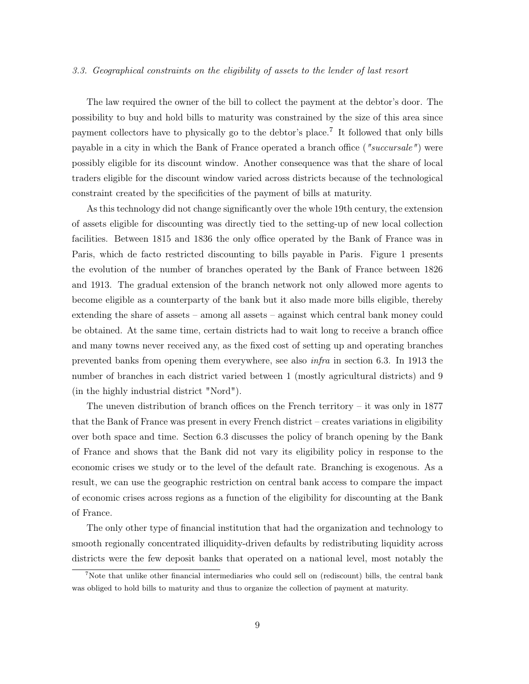## 3.3. Geographical constraints on the eligibility of assets to the lender of last resort

The law required the owner of the bill to collect the payment at the debtor's door. The possibility to buy and hold bills to maturity was constrained by the size of this area since payment collectors have to physically go to the debtor's place.<sup>7</sup> It followed that only bills payable in a city in which the Bank of France operated a branch office ("succursale") were possibly eligible for its discount window. Another consequence was that the share of local traders eligible for the discount window varied across districts because of the technological constraint created by the specificities of the payment of bills at maturity.

As this technology did not change significantly over the whole 19th century, the extension of assets eligible for discounting was directly tied to the setting-up of new local collection facilities. Between 1815 and 1836 the only office operated by the Bank of France was in Paris, which de facto restricted discounting to bills payable in Paris. Figure 1 presents the evolution of the number of branches operated by the Bank of France between 1826 and 1913. The gradual extension of the branch network not only allowed more agents to become eligible as a counterparty of the bank but it also made more bills eligible, thereby extending the share of assets – among all assets – against which central bank money could be obtained. At the same time, certain districts had to wait long to receive a branch office and many towns never received any, as the fixed cost of setting up and operating branches prevented banks from opening them everywhere, see also infra in section 6.3. In 1913 the number of branches in each district varied between 1 (mostly agricultural districts) and 9 (in the highly industrial district "Nord").

The uneven distribution of branch offices on the French territory – it was only in  $1877$ that the Bank of France was present in every French district – creates variations in eligibility over both space and time. Section 6.3 discusses the policy of branch opening by the Bank of France and shows that the Bank did not vary its eligibility policy in response to the economic crises we study or to the level of the default rate. Branching is exogenous. As a result, we can use the geographic restriction on central bank access to compare the impact of economic crises across regions as a function of the eligibility for discounting at the Bank of France.

The only other type of financial institution that had the organization and technology to smooth regionally concentrated illiquidity-driven defaults by redistributing liquidity across districts were the few deposit banks that operated on a national level, most notably the

<sup>&</sup>lt;sup>7</sup>Note that unlike other financial intermediaries who could sell on (rediscount) bills, the central bank was obliged to hold bills to maturity and thus to organize the collection of payment at maturity.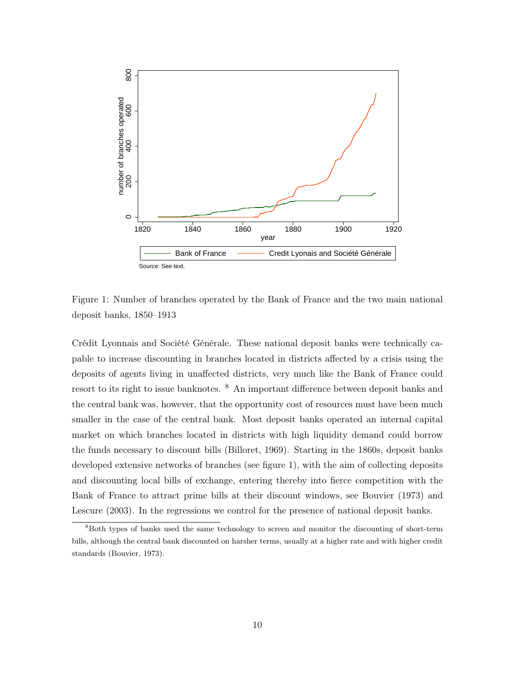

Figure 1: Number of branches operated by the Bank of France and the two main national deposit banks, 1850–1913

Crédit Lyonnais and Société Générale. These national deposit banks were technically capable to increase discounting in branches located in districts affected by a crisis using the deposits of agents living in unaffected districts, very much like the Bank of France could resort to its right to issue banknotes. <sup>8</sup> An important difference between deposit banks and the central bank was, however, that the opportunity cost of resources must have been much smaller in the case of the central bank. Most deposit banks operated an internal capital market on which branches located in districts with high liquidity demand could borrow the funds necessary to discount bills (Billoret, 1969). Starting in the 1860s, deposit banks developed extensive networks of branches (see figure 1), with the aim of collecting deposits and discounting local bills of exchange, entering thereby into fierce competition with the Bank of France to attract prime bills at their discount windows, see Bouvier (1973) and Lescure (2003). In the regressions we control for the presence of national deposit banks.

<sup>8</sup>Both types of banks used the same technology to screen and monitor the discounting of short-term bills, although the central bank discounted on harsher terms, usually at a higher rate and with higher credit standards (Bouvier, 1973).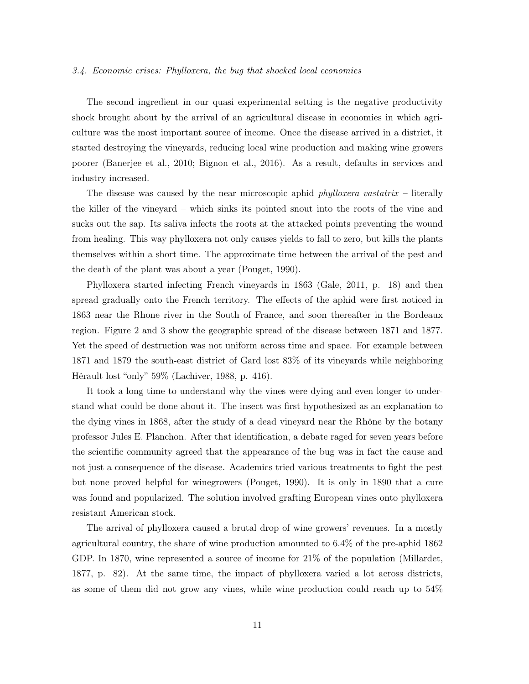#### 3.4. Economic crises: Phylloxera, the bug that shocked local economies

The second ingredient in our quasi experimental setting is the negative productivity shock brought about by the arrival of an agricultural disease in economies in which agriculture was the most important source of income. Once the disease arrived in a district, it started destroying the vineyards, reducing local wine production and making wine growers poorer (Banerjee et al., 2010; Bignon et al., 2016). As a result, defaults in services and industry increased.

The disease was caused by the near microscopic aphid *phylloxera vastatrix* – literally the killer of the vineyard – which sinks its pointed snout into the roots of the vine and sucks out the sap. Its saliva infects the roots at the attacked points preventing the wound from healing. This way phylloxera not only causes yields to fall to zero, but kills the plants themselves within a short time. The approximate time between the arrival of the pest and the death of the plant was about a year (Pouget, 1990).

Phylloxera started infecting French vineyards in 1863 (Gale, 2011, p. 18) and then spread gradually onto the French territory. The effects of the aphid were first noticed in 1863 near the Rhone river in the South of France, and soon thereafter in the Bordeaux region. Figure 2 and 3 show the geographic spread of the disease between 1871 and 1877. Yet the speed of destruction was not uniform across time and space. For example between 1871 and 1879 the south-east district of Gard lost 83% of its vineyards while neighboring Hérault lost "only" 59% (Lachiver, 1988, p. 416).

It took a long time to understand why the vines were dying and even longer to understand what could be done about it. The insect was first hypothesized as an explanation to the dying vines in 1868, after the study of a dead vineyard near the Rhône by the botany professor Jules E. Planchon. After that identification, a debate raged for seven years before the scientific community agreed that the appearance of the bug was in fact the cause and not just a consequence of the disease. Academics tried various treatments to fight the pest but none proved helpful for winegrowers (Pouget, 1990). It is only in 1890 that a cure was found and popularized. The solution involved grafting European vines onto phylloxera resistant American stock.

The arrival of phylloxera caused a brutal drop of wine growers' revenues. In a mostly agricultural country, the share of wine production amounted to 6.4% of the pre-aphid 1862 GDP. In 1870, wine represented a source of income for 21\% of the population (Millardet, 1877, p. 82). At the same time, the impact of phylloxera varied a lot across districts, as some of them did not grow any vines, while wine production could reach up to 54%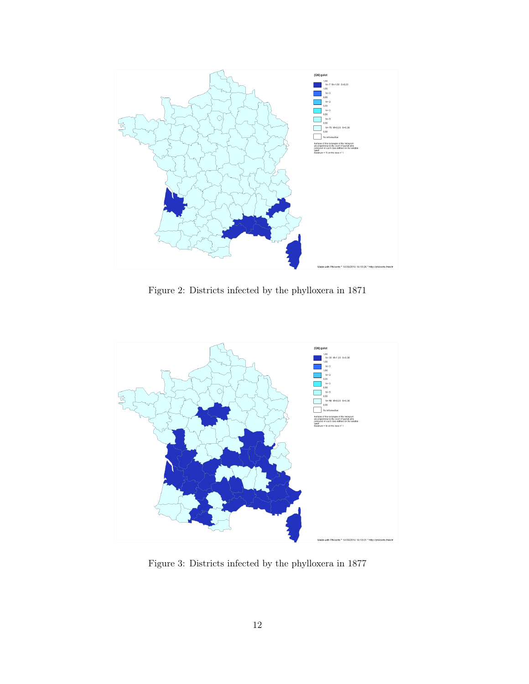

Figure 2: Districts infected by the phylloxera in 1871



Figure 3: Districts infected by the phylloxera in 1877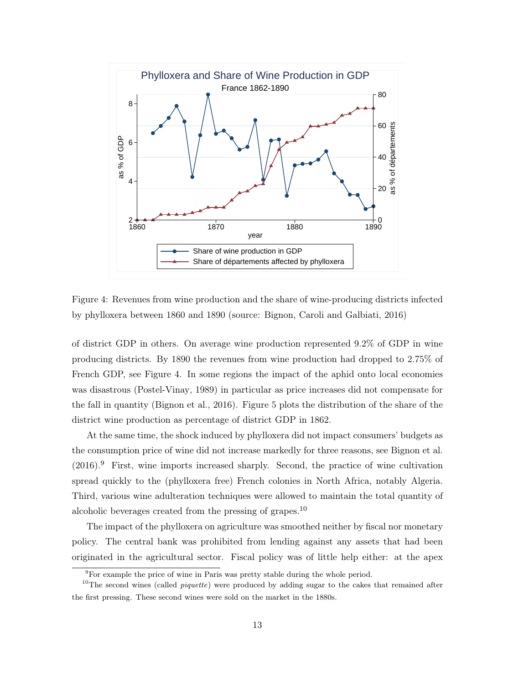

Figure 4: Revenues from wine production and the share of wine-producing districts infected by phylloxera between 1860 and 1890 (source: Bignon, Caroli and Galbiati, 2016)

of district GDP in others. On average wine production represented 9.2% of GDP in wine producing districts. By 1890 the revenues from wine production had dropped to 2.75% of French GDP, see Figure 4. In some regions the impact of the aphid onto local economies was disastrous (Postel-Vinay, 1989) in particular as price increases did not compensate for the fall in quantity (Bignon et al., 2016). Figure 5 plots the distribution of the share of the district wine production as percentage of district GDP in 1862.

At the same time, the shock induced by phylloxera did not impact consumers' budgets as the consumption price of wine did not increase markedly for three reasons, see Bignon et al.  $(2016).$ <sup>9</sup> First, wine imports increased sharply. Second, the practice of wine cultivation spread quickly to the (phylloxera free) French colonies in North Africa, notably Algeria. Third, various wine adulteration techniques were allowed to maintain the total quantity of alcoholic beverages created from the pressing of grapes.<sup>10</sup>

The impact of the phylloxera on agriculture was smoothed neither by fiscal nor monetary policy. The central bank was prohibited from lending against any assets that had been originated in the agricultural sector. Fiscal policy was of little help either: at the apex

<sup>&</sup>lt;sup>9</sup>For example the price of wine in Paris was pretty stable during the whole period.

<sup>&</sup>lt;sup>10</sup>The second wines (called *piquette*) were produced by adding sugar to the cakes that remained after the first pressing. These second wines were sold on the market in the 1880s.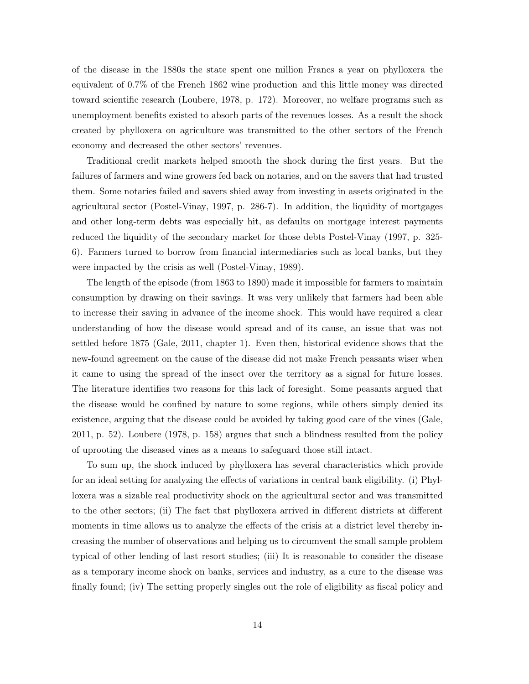of the disease in the 1880s the state spent one million Francs a year on phylloxera–the equivalent of 0.7% of the French 1862 wine production–and this little money was directed toward scientific research (Loubere, 1978, p. 172). Moreover, no welfare programs such as unemployment benefits existed to absorb parts of the revenues losses. As a result the shock created by phylloxera on agriculture was transmitted to the other sectors of the French economy and decreased the other sectors' revenues.

Traditional credit markets helped smooth the shock during the first years. But the failures of farmers and wine growers fed back on notaries, and on the savers that had trusted them. Some notaries failed and savers shied away from investing in assets originated in the agricultural sector (Postel-Vinay, 1997, p. 286-7). In addition, the liquidity of mortgages and other long-term debts was especially hit, as defaults on mortgage interest payments reduced the liquidity of the secondary market for those debts Postel-Vinay (1997, p. 325- 6). Farmers turned to borrow from financial intermediaries such as local banks, but they were impacted by the crisis as well (Postel-Vinay, 1989).

The length of the episode (from 1863 to 1890) made it impossible for farmers to maintain consumption by drawing on their savings. It was very unlikely that farmers had been able to increase their saving in advance of the income shock. This would have required a clear understanding of how the disease would spread and of its cause, an issue that was not settled before 1875 (Gale, 2011, chapter 1). Even then, historical evidence shows that the new-found agreement on the cause of the disease did not make French peasants wiser when it came to using the spread of the insect over the territory as a signal for future losses. The literature identifies two reasons for this lack of foresight. Some peasants argued that the disease would be confined by nature to some regions, while others simply denied its existence, arguing that the disease could be avoided by taking good care of the vines (Gale, 2011, p. 52). Loubere (1978, p. 158) argues that such a blindness resulted from the policy of uprooting the diseased vines as a means to safeguard those still intact.

To sum up, the shock induced by phylloxera has several characteristics which provide for an ideal setting for analyzing the effects of variations in central bank eligibility. (i) Phylloxera was a sizable real productivity shock on the agricultural sector and was transmitted to the other sectors; (ii) The fact that phylloxera arrived in different districts at different moments in time allows us to analyze the effects of the crisis at a district level thereby increasing the number of observations and helping us to circumvent the small sample problem typical of other lending of last resort studies; (iii) It is reasonable to consider the disease as a temporary income shock on banks, services and industry, as a cure to the disease was finally found; (iv) The setting properly singles out the role of eligibility as fiscal policy and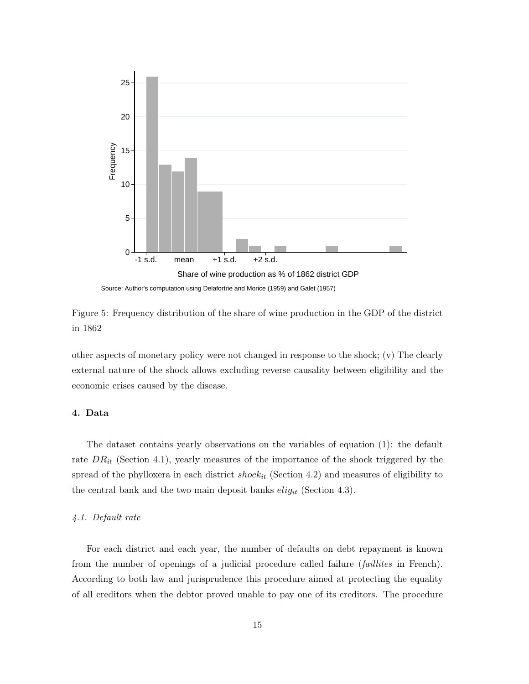

Source: Author's computation using Delafortrie and Morice (1959) and Galet (1957)

Figure 5: Frequency distribution of the share of wine production in the GDP of the district in 1862

other aspects of monetary policy were not changed in response to the shock; (v) The clearly external nature of the shock allows excluding reverse causality between eligibility and the economic crises caused by the disease.

# 4. Data

The dataset contains yearly observations on the variables of equation (1): the default rate  $DR_{it}$  (Section 4.1), yearly measures of the importance of the shock triggered by the spread of the phylloxera in each district  $shock_{it}$  (Section 4.2) and measures of eligibility to the central bank and the two main deposit banks  $elig_{it}$  (Section 4.3).

# 4.1. Default rate

For each district and each year, the number of defaults on debt repayment is known from the number of openings of a judicial procedure called failure *(faillites* in French). According to both law and jurisprudence this procedure aimed at protecting the equality of all creditors when the debtor proved unable to pay one of its creditors. The procedure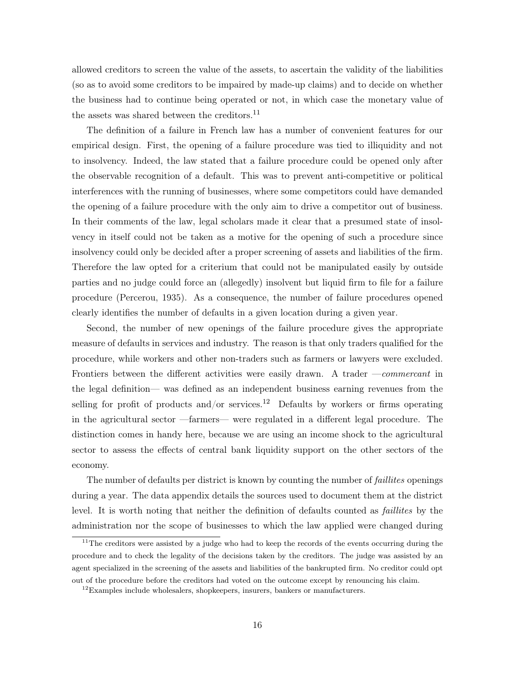allowed creditors to screen the value of the assets, to ascertain the validity of the liabilities (so as to avoid some creditors to be impaired by made-up claims) and to decide on whether the business had to continue being operated or not, in which case the monetary value of the assets was shared between the creditors.<sup>11</sup>

The definition of a failure in French law has a number of convenient features for our empirical design. First, the opening of a failure procedure was tied to illiquidity and not to insolvency. Indeed, the law stated that a failure procedure could be opened only after the observable recognition of a default. This was to prevent anti-competitive or political interferences with the running of businesses, where some competitors could have demanded the opening of a failure procedure with the only aim to drive a competitor out of business. In their comments of the law, legal scholars made it clear that a presumed state of insolvency in itself could not be taken as a motive for the opening of such a procedure since insolvency could only be decided after a proper screening of assets and liabilities of the firm. Therefore the law opted for a criterium that could not be manipulated easily by outside parties and no judge could force an (allegedly) insolvent but liquid firm to file for a failure procedure (Percerou, 1935). As a consequence, the number of failure procedures opened clearly identifies the number of defaults in a given location during a given year.

Second, the number of new openings of the failure procedure gives the appropriate measure of defaults in services and industry. The reason is that only traders qualified for the procedure, while workers and other non-traders such as farmers or lawyers were excluded. Frontiers between the different activities were easily drawn. A trader —*commercant* in the legal definition— was defined as an independent business earning revenues from the selling for profit of products and/or services.<sup>12</sup> Defaults by workers or firms operating in the agricultural sector —farmers— were regulated in a different legal procedure. The distinction comes in handy here, because we are using an income shock to the agricultural sector to assess the effects of central bank liquidity support on the other sectors of the economy.

The number of defaults per district is known by counting the number of *faillites* openings during a year. The data appendix details the sources used to document them at the district level. It is worth noting that neither the definition of defaults counted as faillites by the administration nor the scope of businesses to which the law applied were changed during

<sup>&</sup>lt;sup>11</sup>The creditors were assisted by a judge who had to keep the records of the events occurring during the procedure and to check the legality of the decisions taken by the creditors. The judge was assisted by an agent specialized in the screening of the assets and liabilities of the bankrupted firm. No creditor could opt out of the procedure before the creditors had voted on the outcome except by renouncing his claim.

 $12$ Examples include wholesalers, shopkeepers, insurers, bankers or manufacturers.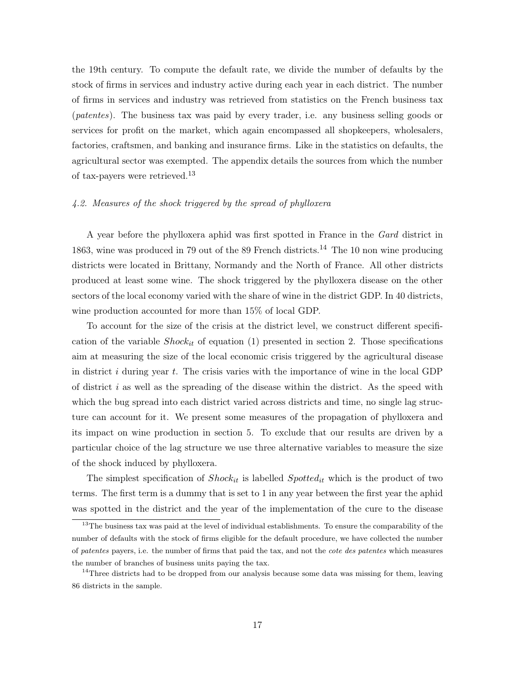the 19th century. To compute the default rate, we divide the number of defaults by the stock of firms in services and industry active during each year in each district. The number of firms in services and industry was retrieved from statistics on the French business tax (patentes). The business tax was paid by every trader, i.e. any business selling goods or services for profit on the market, which again encompassed all shopkeepers, wholesalers, factories, craftsmen, and banking and insurance firms. Like in the statistics on defaults, the agricultural sector was exempted. The appendix details the sources from which the number of tax-payers were retrieved.<sup>13</sup>

# 4.2. Measures of the shock triggered by the spread of phylloxera

A year before the phylloxera aphid was first spotted in France in the Gard district in 1863, wine was produced in 79 out of the 89 French districts.<sup>14</sup> The 10 non wine producing districts were located in Brittany, Normandy and the North of France. All other districts produced at least some wine. The shock triggered by the phylloxera disease on the other sectors of the local economy varied with the share of wine in the district GDP. In 40 districts, wine production accounted for more than 15% of local GDP.

To account for the size of the crisis at the district level, we construct different specification of the variable  $Shock_{it}$  of equation (1) presented in section 2. Those specifications aim at measuring the size of the local economic crisis triggered by the agricultural disease in district i during year t. The crisis varies with the importance of wine in the local GDP of district  $i$  as well as the spreading of the disease within the district. As the speed with which the bug spread into each district varied across districts and time, no single lag structure can account for it. We present some measures of the propagation of phylloxera and its impact on wine production in section 5. To exclude that our results are driven by a particular choice of the lag structure we use three alternative variables to measure the size of the shock induced by phylloxera.

The simplest specification of  $Shock_{it}$  is labelled  $Spotted_{it}$  which is the product of two terms. The first term is a dummy that is set to 1 in any year between the first year the aphid was spotted in the district and the year of the implementation of the cure to the disease

<sup>&</sup>lt;sup>13</sup>The business tax was paid at the level of individual establishments. To ensure the comparability of the number of defaults with the stock of firms eligible for the default procedure, we have collected the number of patentes payers, i.e. the number of firms that paid the tax, and not the cote des patentes which measures the number of branches of business units paying the tax.

<sup>&</sup>lt;sup>14</sup>Three districts had to be dropped from our analysis because some data was missing for them, leaving 86 districts in the sample.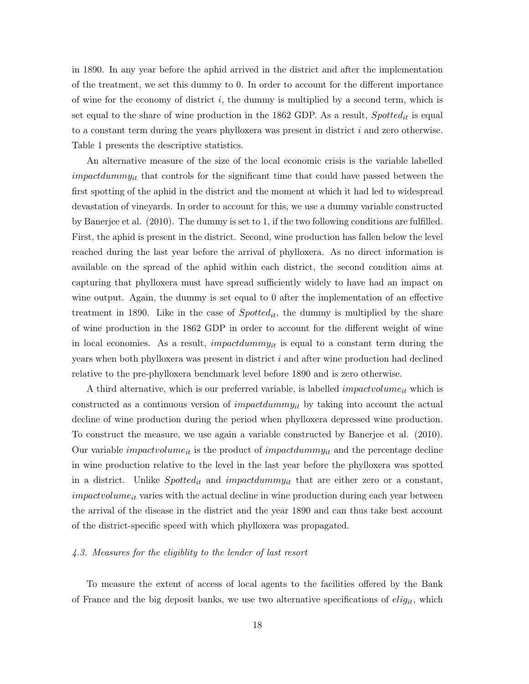in 1890. In any year before the aphid arrived in the district and after the implementation of the treatment, we set this dummy to 0. In order to account for the different importance of wine for the economy of district  $i$ , the dummy is multiplied by a second term, which is set equal to the share of wine production in the 1862 GDP. As a result,  $Spotted_{it}$  is equal to a constant term during the years phylloxera was present in district  $i$  and zero otherwise. Table 1 presents the descriptive statistics.

An alternative measure of the size of the local economic crisis is the variable labelled  $impatchummy_{it}$  that controls for the significant time that could have passed between the first spotting of the aphid in the district and the moment at which it had led to widespread devastation of vineyards. In order to account for this, we use a dummy variable constructed by Banerjee et al. (2010). The dummy is set to 1, if the two following conditions are fulfilled. First, the aphid is present in the district. Second, wine production has fallen below the level reached during the last year before the arrival of phylloxera. As no direct information is available on the spread of the aphid within each district, the second condition aims at capturing that phylloxera must have spread sufficiently widely to have had an impact on wine output. Again, the dummy is set equal to 0 after the implementation of an effective treatment in 1890. Like in the case of  $Spotted_{it}$ , the dummy is multiplied by the share of wine production in the 1862 GDP in order to account for the different weight of wine in local economies. As a result, *impactdummy<sub>it</sub>* is equal to a constant term during the years when both phylloxera was present in district i and after wine production had declined relative to the pre-phylloxera benchmark level before 1890 and is zero otherwise.

A third alternative, which is our preferred variable, is labelled *impactvolume<sub>it</sub>* which is constructed as a continuous version of *impactdummy<sub>it</sub>* by taking into account the actual decline of wine production during the period when phylloxera depressed wine production. To construct the measure, we use again a variable constructed by Banerjee et al. (2010). Our variable *impactvolume<sub>it</sub>* is the product of *impactdummy<sub>it</sub>* and the percentage decline in wine production relative to the level in the last year before the phylloxera was spotted in a district. Unlike  $Spotted_{it}$  and impactdummy<sub>it</sub> that are either zero or a constant,  $impatvolume_{it}$  varies with the actual decline in wine production during each year between the arrival of the disease in the district and the year 1890 and can thus take best account of the district-specific speed with which phylloxera was propagated.

# 4.3. Measures for the eligiblity to the lender of last resort

To measure the extent of access of local agents to the facilities offered by the Bank of France and the big deposit banks, we use two alternative specifications of  $elig_{it}$ , which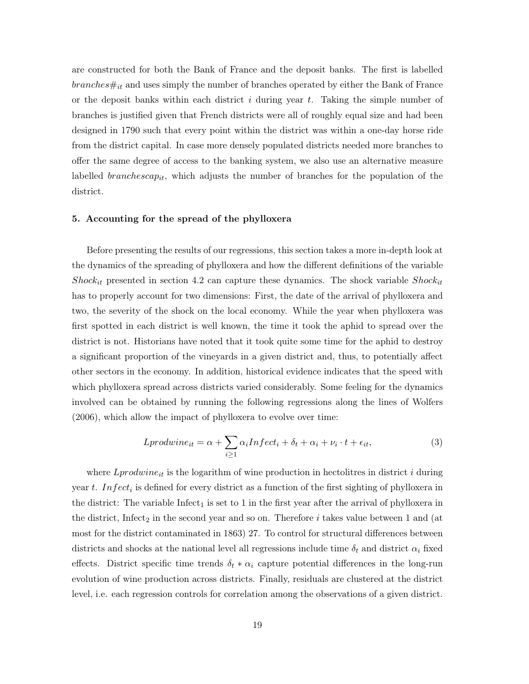are constructed for both the Bank of France and the deposit banks. The first is labelled  $branches#_{it}$  and uses simply the number of branches operated by either the Bank of France or the deposit banks within each district  $i$  during year  $t$ . Taking the simple number of branches is justified given that French districts were all of roughly equal size and had been designed in 1790 such that every point within the district was within a one-day horse ride from the district capital. In case more densely populated districts needed more branches to offer the same degree of access to the banking system, we also use an alternative measure labelled *branchescap<sub>it</sub>*, which adjusts the number of branches for the population of the district.

#### 5. Accounting for the spread of the phylloxera

Before presenting the results of our regressions, this section takes a more in-depth look at the dynamics of the spreading of phylloxera and how the different definitions of the variable Shock<sub>it</sub> presented in section 4.2 can capture these dynamics. The shock variable Shock<sub>it</sub> has to properly account for two dimensions: First, the date of the arrival of phylloxera and two, the severity of the shock on the local economy. While the year when phylloxera was first spotted in each district is well known, the time it took the aphid to spread over the district is not. Historians have noted that it took quite some time for the aphid to destroy a significant proportion of the vineyards in a given district and, thus, to potentially affect other sectors in the economy. In addition, historical evidence indicates that the speed with which phylloxera spread across districts varied considerably. Some feeling for the dynamics involved can be obtained by running the following regressions along the lines of Wolfers (2006), which allow the impact of phylloxera to evolve over time:

$$
Lprodwine_{it} = \alpha + \sum_{i \ge 1} \alpha_i Infect_i + \delta_t + \alpha_i + \nu_i \cdot t + \epsilon_{it}, \tag{3}
$$

where  $L_{product}$  is the logarithm of wine production in hectolitres in district i during year t. Infect<sub>i</sub> is defined for every district as a function of the first sighting of phylloxera in the district: The variable  $Infect<sub>1</sub>$  is set to 1 in the first year after the arrival of phylloxera in the district, Infect<sub>2</sub> in the second year and so on. Therefore  $i$  takes value between 1 and (at most for the district contaminated in 1863) 27. To control for structural differences between districts and shocks at the national level all regressions include time  $\delta_t$  and district  $\alpha_i$  fixed effects. District specific time trends  $\delta_t * \alpha_i$  capture potential differences in the long-run evolution of wine production across districts. Finally, residuals are clustered at the district level, i.e. each regression controls for correlation among the observations of a given district.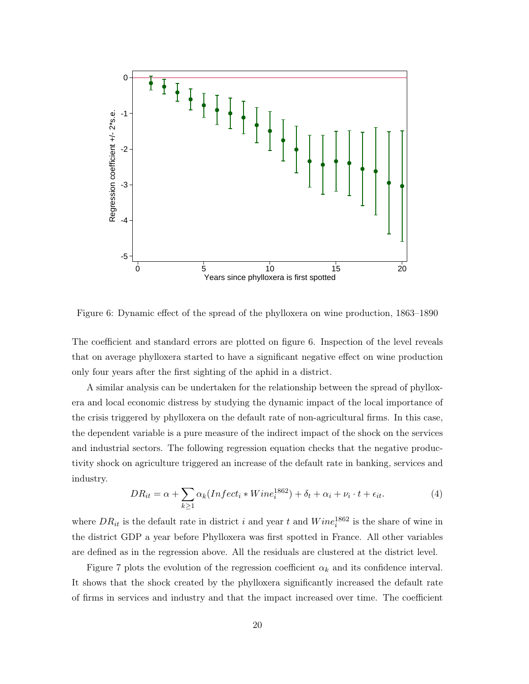

Figure 6: Dynamic effect of the spread of the phylloxera on wine production, 1863–1890

The coefficient and standard errors are plotted on figure 6. Inspection of the level reveals that on average phylloxera started to have a significant negative effect on wine production only four years after the first sighting of the aphid in a district.

A similar analysis can be undertaken for the relationship between the spread of phylloxera and local economic distress by studying the dynamic impact of the local importance of the crisis triggered by phylloxera on the default rate of non-agricultural firms. In this case, the dependent variable is a pure measure of the indirect impact of the shock on the services and industrial sectors. The following regression equation checks that the negative productivity shock on agriculture triggered an increase of the default rate in banking, services and industry.

$$
DR_{it} = \alpha + \sum_{k \ge 1} \alpha_k (Infect_i * Winel_i^{1862}) + \delta_t + \alpha_i + \nu_i \cdot t + \epsilon_{it}.
$$
\n<sup>(4)</sup>

where  $DR_{it}$  is the default rate in district i and year t and  $Wine_i^{1862}$  is the share of wine in the district GDP a year before Phylloxera was first spotted in France. All other variables are defined as in the regression above. All the residuals are clustered at the district level.

Figure 7 plots the evolution of the regression coefficient  $\alpha_k$  and its confidence interval. It shows that the shock created by the phylloxera significantly increased the default rate of firms in services and industry and that the impact increased over time. The coefficient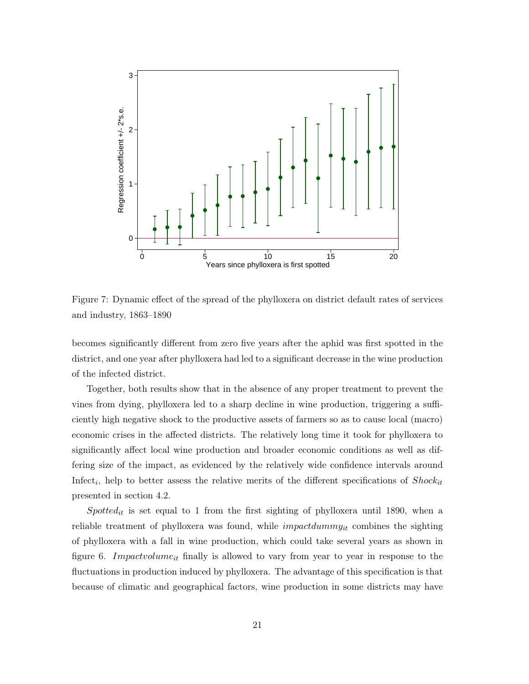

Figure 7: Dynamic effect of the spread of the phylloxera on district default rates of services and industry, 1863–1890

becomes significantly different from zero five years after the aphid was first spotted in the district, and one year after phylloxera had led to a significant decrease in the wine production of the infected district.

Together, both results show that in the absence of any proper treatment to prevent the vines from dying, phylloxera led to a sharp decline in wine production, triggering a sufficiently high negative shock to the productive assets of farmers so as to cause local (macro) economic crises in the affected districts. The relatively long time it took for phylloxera to significantly affect local wine production and broader economic conditions as well as differing size of the impact, as evidenced by the relatively wide confidence intervals around Infect<sub>i</sub>, help to better assess the relative merits of the different specifications of  $Shock_{it}$ presented in section 4.2.

 $Spotted_{it}$  is set equal to 1 from the first sighting of phylloxera until 1890, when a reliable treatment of phylloxera was found, while  $impatchummy_{it}$  combines the sighting of phylloxera with a fall in wine production, which could take several years as shown in figure 6. Impactvolume<sub>it</sub> finally is allowed to vary from year to year in response to the fluctuations in production induced by phylloxera. The advantage of this specification is that because of climatic and geographical factors, wine production in some districts may have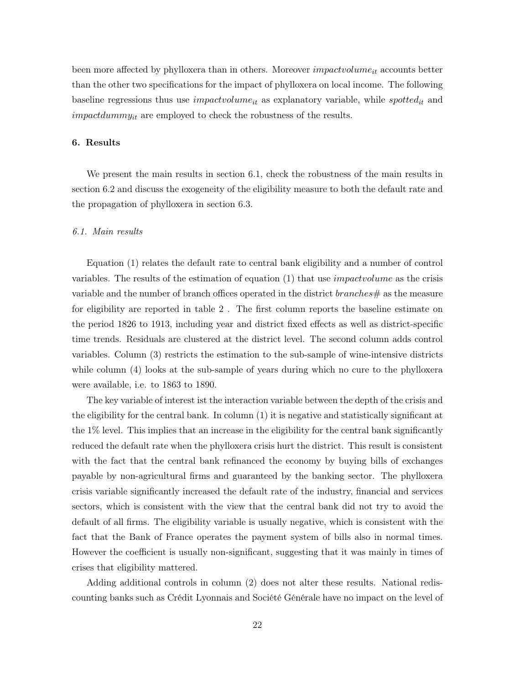been more affected by phylloxera than in others. Moreover *impactvolume<sub>it</sub>* accounts better than the other two specifications for the impact of phylloxera on local income. The following baseline regressions thus use *impactvolume<sub>it</sub>* as explanatory variable, while *spotted<sub>it</sub>* and  $impatchummy_{it}$  are employed to check the robustness of the results.

# 6. Results

We present the main results in section 6.1, check the robustness of the main results in section 6.2 and discuss the exogeneity of the eligibility measure to both the default rate and the propagation of phylloxera in section 6.3.

#### 6.1. Main results

Equation (1) relates the default rate to central bank eligibility and a number of control variables. The results of the estimation of equation (1) that use impactvolume as the crisis variable and the number of branch offices operated in the district  $branches \#$  as the measure for eligibility are reported in table 2 . The first column reports the baseline estimate on the period 1826 to 1913, including year and district fixed effects as well as district-specific time trends. Residuals are clustered at the district level. The second column adds control variables. Column (3) restricts the estimation to the sub-sample of wine-intensive districts while column (4) looks at the sub-sample of years during which no cure to the phylloxera were available, i.e. to 1863 to 1890.

The key variable of interest ist the interaction variable between the depth of the crisis and the eligibility for the central bank. In column (1) it is negative and statistically significant at the 1% level. This implies that an increase in the eligibility for the central bank significantly reduced the default rate when the phylloxera crisis hurt the district. This result is consistent with the fact that the central bank refinanced the economy by buying bills of exchanges payable by non-agricultural firms and guaranteed by the banking sector. The phylloxera crisis variable significantly increased the default rate of the industry, financial and services sectors, which is consistent with the view that the central bank did not try to avoid the default of all firms. The eligibility variable is usually negative, which is consistent with the fact that the Bank of France operates the payment system of bills also in normal times. However the coefficient is usually non-significant, suggesting that it was mainly in times of crises that eligibility mattered.

Adding additional controls in column (2) does not alter these results. National rediscounting banks such as Crédit Lyonnais and Société Générale have no impact on the level of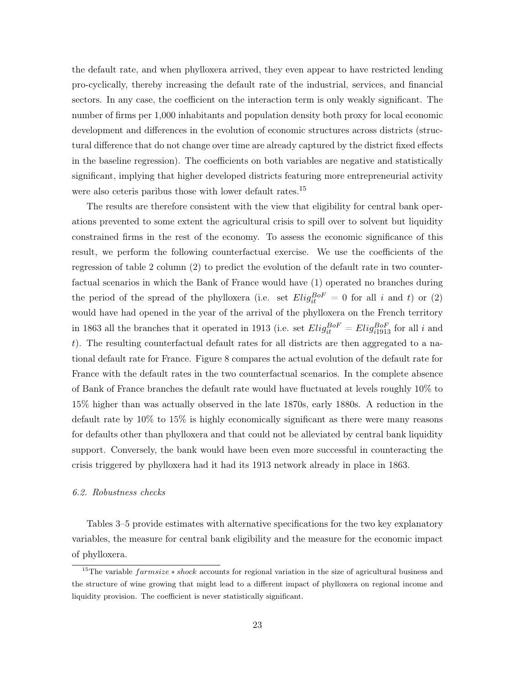the default rate, and when phylloxera arrived, they even appear to have restricted lending pro-cyclically, thereby increasing the default rate of the industrial, services, and financial sectors. In any case, the coefficient on the interaction term is only weakly significant. The number of firms per 1,000 inhabitants and population density both proxy for local economic development and differences in the evolution of economic structures across districts (structural difference that do not change over time are already captured by the district fixed effects in the baseline regression). The coefficients on both variables are negative and statistically significant, implying that higher developed districts featuring more entrepreneurial activity were also ceteris paribus those with lower default rates.<sup>15</sup>

The results are therefore consistent with the view that eligibility for central bank operations prevented to some extent the agricultural crisis to spill over to solvent but liquidity constrained firms in the rest of the economy. To assess the economic significance of this result, we perform the following counterfactual exercise. We use the coefficients of the regression of table 2 column (2) to predict the evolution of the default rate in two counterfactual scenarios in which the Bank of France would have (1) operated no branches during the period of the spread of the phylloxera (i.e. set  $Ellig_{it}^{BoF} = 0$  for all i and t) or (2) would have had opened in the year of the arrival of the phylloxera on the French territory in 1863 all the branches that it operated in 1913 (i.e. set  $Elig_{it}^{BoF} = Elig_{i1913}^{BoF}$  for all i and t). The resulting counterfactual default rates for all districts are then aggregated to a national default rate for France. Figure 8 compares the actual evolution of the default rate for France with the default rates in the two counterfactual scenarios. In the complete absence of Bank of France branches the default rate would have fluctuated at levels roughly 10% to 15% higher than was actually observed in the late 1870s, early 1880s. A reduction in the default rate by 10% to 15% is highly economically significant as there were many reasons for defaults other than phylloxera and that could not be alleviated by central bank liquidity support. Conversely, the bank would have been even more successful in counteracting the crisis triggered by phylloxera had it had its 1913 network already in place in 1863.

#### 6.2. Robustness checks

Tables 3–5 provide estimates with alternative specifications for the two key explanatory variables, the measure for central bank eligibility and the measure for the economic impact of phylloxera.

<sup>&</sup>lt;sup>15</sup>The variable  $farmsize * shock$  accounts for regional variation in the size of agricultural business and the structure of wine growing that might lead to a different impact of phylloxera on regional income and liquidity provision. The coefficient is never statistically significant.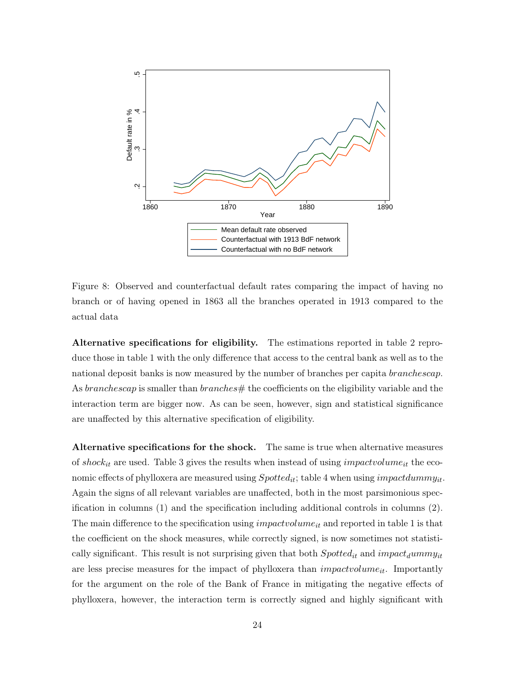

Figure 8: Observed and counterfactual default rates comparing the impact of having no branch or of having opened in 1863 all the branches operated in 1913 compared to the actual data

Alternative specifications for eligibility. The estimations reported in table 2 reproduce those in table 1 with the only difference that access to the central bank as well as to the national deposit banks is now measured by the number of branches per capita *branchescap*. As *branchescap* is smaller than *branches*  $#$  the coefficients on the eligibility variable and the interaction term are bigger now. As can be seen, however, sign and statistical significance are unaffected by this alternative specification of eligibility.

Alternative specifications for the shock. The same is true when alternative measures of shock<sub>it</sub> are used. Table 3 gives the results when instead of using *impactuolume*<sub>it</sub> the economic effects of phylloxera are measured using  $Spotted_{it}$ ; table 4 when using impactdummy<sub>it</sub>. Again the signs of all relevant variables are unaffected, both in the most parsimonious specification in columns (1) and the specification including additional controls in columns (2). The main difference to the specification using *impactvolume<sub>it</sub>* and reported in table 1 is that the coefficient on the shock measures, while correctly signed, is now sometimes not statistically significant. This result is not surprising given that both  $Spotted_{it}$  and  $impact<sub>d</sub> \mu m m y<sub>it</sub>$ are less precise measures for the impact of phylloxera than  $impact volume_{it}$ . Importantly for the argument on the role of the Bank of France in mitigating the negative effects of phylloxera, however, the interaction term is correctly signed and highly significant with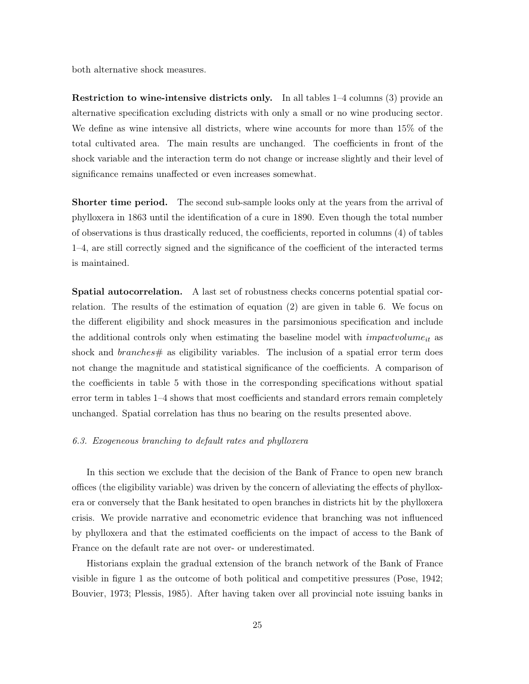both alternative shock measures.

Restriction to wine-intensive districts only. In all tables 1–4 columns (3) provide an alternative specification excluding districts with only a small or no wine producing sector. We define as wine intensive all districts, where wine accounts for more than 15% of the total cultivated area. The main results are unchanged. The coefficients in front of the shock variable and the interaction term do not change or increase slightly and their level of significance remains unaffected or even increases somewhat.

**Shorter time period.** The second sub-sample looks only at the years from the arrival of phylloxera in 1863 until the identification of a cure in 1890. Even though the total number of observations is thus drastically reduced, the coefficients, reported in columns (4) of tables 1–4, are still correctly signed and the significance of the coefficient of the interacted terms is maintained.

Spatial autocorrelation. A last set of robustness checks concerns potential spatial correlation. The results of the estimation of equation (2) are given in table 6. We focus on the different eligibility and shock measures in the parsimonious specification and include the additional controls only when estimating the baseline model with  $impatch$  as shock and  $branches \#$  as eligibility variables. The inclusion of a spatial error term does not change the magnitude and statistical significance of the coefficients. A comparison of the coefficients in table 5 with those in the corresponding specifications without spatial error term in tables 1–4 shows that most coefficients and standard errors remain completely unchanged. Spatial correlation has thus no bearing on the results presented above.

## 6.3. Exogeneous branching to default rates and phylloxera

In this section we exclude that the decision of the Bank of France to open new branch offices (the eligibility variable) was driven by the concern of alleviating the effects of phylloxera or conversely that the Bank hesitated to open branches in districts hit by the phylloxera crisis. We provide narrative and econometric evidence that branching was not influenced by phylloxera and that the estimated coefficients on the impact of access to the Bank of France on the default rate are not over- or underestimated.

Historians explain the gradual extension of the branch network of the Bank of France visible in figure 1 as the outcome of both political and competitive pressures (Pose, 1942; Bouvier, 1973; Plessis, 1985). After having taken over all provincial note issuing banks in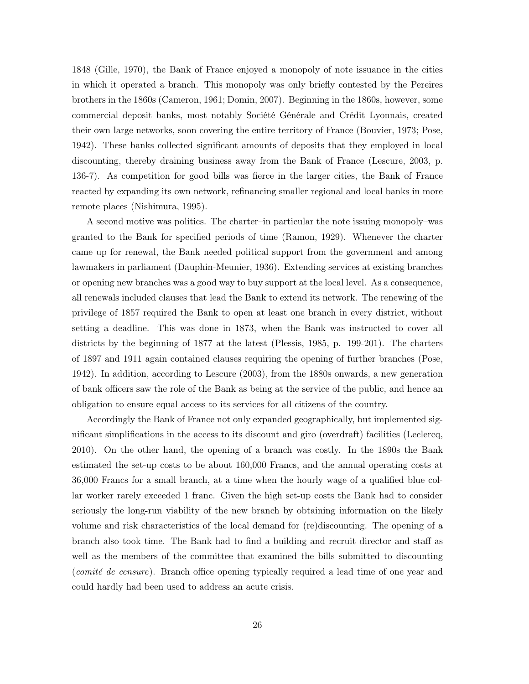1848 (Gille, 1970), the Bank of France enjoyed a monopoly of note issuance in the cities in which it operated a branch. This monopoly was only briefly contested by the Pereires brothers in the 1860s (Cameron, 1961; Domin, 2007). Beginning in the 1860s, however, some commercial deposit banks, most notably Société Générale and Crédit Lyonnais, created their own large networks, soon covering the entire territory of France (Bouvier, 1973; Pose, 1942). These banks collected significant amounts of deposits that they employed in local discounting, thereby draining business away from the Bank of France (Lescure, 2003, p. 136-7). As competition for good bills was fierce in the larger cities, the Bank of France reacted by expanding its own network, refinancing smaller regional and local banks in more remote places (Nishimura, 1995).

A second motive was politics. The charter–in particular the note issuing monopoly–was granted to the Bank for specified periods of time (Ramon, 1929). Whenever the charter came up for renewal, the Bank needed political support from the government and among lawmakers in parliament (Dauphin-Meunier, 1936). Extending services at existing branches or opening new branches was a good way to buy support at the local level. As a consequence, all renewals included clauses that lead the Bank to extend its network. The renewing of the privilege of 1857 required the Bank to open at least one branch in every district, without setting a deadline. This was done in 1873, when the Bank was instructed to cover all districts by the beginning of 1877 at the latest (Plessis, 1985, p. 199-201). The charters of 1897 and 1911 again contained clauses requiring the opening of further branches (Pose, 1942). In addition, according to Lescure (2003), from the 1880s onwards, a new generation of bank officers saw the role of the Bank as being at the service of the public, and hence an obligation to ensure equal access to its services for all citizens of the country.

Accordingly the Bank of France not only expanded geographically, but implemented significant simplifications in the access to its discount and giro (overdraft) facilities (Leclercq, 2010). On the other hand, the opening of a branch was costly. In the 1890s the Bank estimated the set-up costs to be about 160,000 Francs, and the annual operating costs at 36,000 Francs for a small branch, at a time when the hourly wage of a qualified blue collar worker rarely exceeded 1 franc. Given the high set-up costs the Bank had to consider seriously the long-run viability of the new branch by obtaining information on the likely volume and risk characteristics of the local demand for (re)discounting. The opening of a branch also took time. The Bank had to find a building and recruit director and staff as well as the members of the committee that examined the bills submitted to discounting (comité de censure). Branch office opening typically required a lead time of one year and could hardly had been used to address an acute crisis.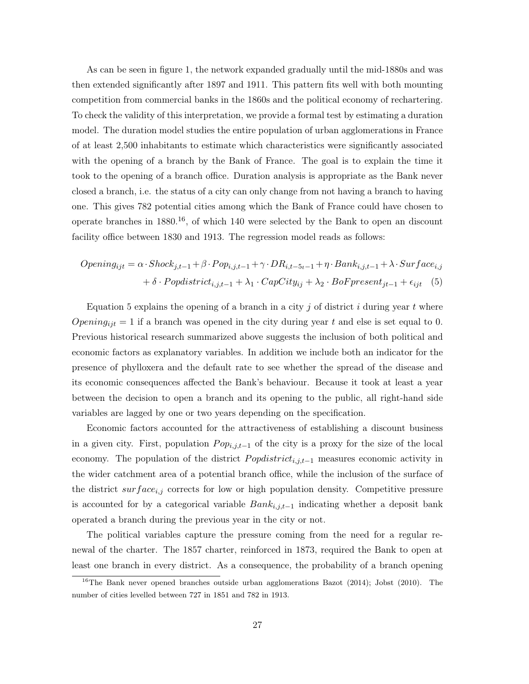As can be seen in figure 1, the network expanded gradually until the mid-1880s and was then extended significantly after 1897 and 1911. This pattern fits well with both mounting competition from commercial banks in the 1860s and the political economy of rechartering. To check the validity of this interpretation, we provide a formal test by estimating a duration model. The duration model studies the entire population of urban agglomerations in France of at least 2,500 inhabitants to estimate which characteristics were significantly associated with the opening of a branch by the Bank of France. The goal is to explain the time it took to the opening of a branch office. Duration analysis is appropriate as the Bank never closed a branch, i.e. the status of a city can only change from not having a branch to having one. This gives 782 potential cities among which the Bank of France could have chosen to operate branches in  $1880^{16}$ , of which 140 were selected by the Bank to open an discount facility office between 1830 and 1913. The regression model reads as follows:

$$
Opening_{ijt} = \alpha \cdot Shock_{j,t-1} + \beta \cdot Pop_{i,j,t-1} + \gamma \cdot DR_{i,t-5t-1} + \eta \cdot Bank_{i,j,t-1} + \lambda \cdot Surface_{i,j} + \delta \cdot Popdistrict_{i,j,t-1} + \lambda_1 \cdot CapCity_{ij} + \lambda_2 \cdot BoF present_{jt-1} + \epsilon_{ijt} \quad (5)
$$

Equation 5 explains the opening of a branch in a city j of district  $i$  during year  $t$  where  $Opening_{ijt} = 1$  if a branch was opened in the city during year t and else is set equal to 0. Previous historical research summarized above suggests the inclusion of both political and economic factors as explanatory variables. In addition we include both an indicator for the presence of phylloxera and the default rate to see whether the spread of the disease and its economic consequences affected the Bank's behaviour. Because it took at least a year between the decision to open a branch and its opening to the public, all right-hand side variables are lagged by one or two years depending on the specification.

Economic factors accounted for the attractiveness of establishing a discount business in a given city. First, population  $Pop_{i,j,t-1}$  of the city is a proxy for the size of the local economy. The population of the district  $Popdistrict_{i,j,t-1}$  measures economic activity in the wider catchment area of a potential branch office, while the inclusion of the surface of the district  $surface_{i,j}$  corrects for low or high population density. Competitive pressure is accounted for by a categorical variable  $Bank_{i,j,t-1}$  indicating whether a deposit bank operated a branch during the previous year in the city or not.

The political variables capture the pressure coming from the need for a regular renewal of the charter. The 1857 charter, reinforced in 1873, required the Bank to open at least one branch in every district. As a consequence, the probability of a branch opening

<sup>&</sup>lt;sup>16</sup>The Bank never opened branches outside urban agglomerations Bazot (2014); Jobst (2010). The number of cities levelled between 727 in 1851 and 782 in 1913.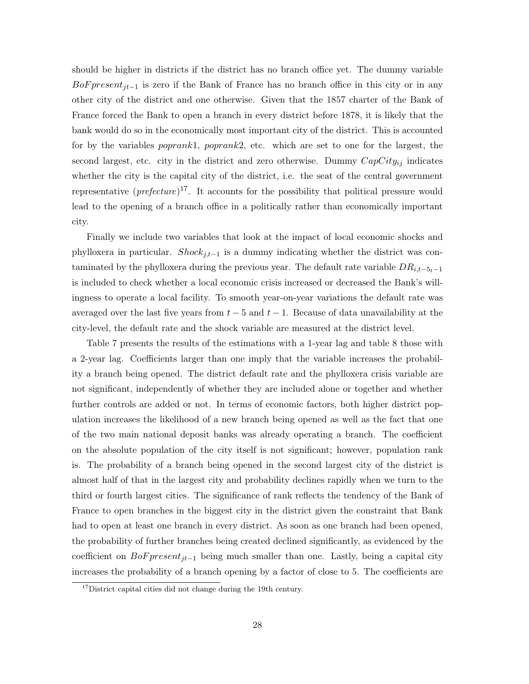should be higher in districts if the district has no branch office yet. The dummy variable BoF present<sub>jt−1</sub> is zero if the Bank of France has no branch office in this city or in any other city of the district and one otherwise. Given that the 1857 charter of the Bank of France forced the Bank to open a branch in every district before 1878, it is likely that the bank would do so in the economically most important city of the district. This is accounted for by the variables poprank1, poprank2, etc. which are set to one for the largest, the second largest, etc. city in the district and zero otherwise. Dummy  $CapCity_{ij}$  indicates whether the city is the capital city of the district, i.e. the seat of the central government representative  $(\text{prefeature})^{17}$ . It accounts for the possibility that political pressure would lead to the opening of a branch office in a politically rather than economically important city.

Finally we include two variables that look at the impact of local economic shocks and phylloxera in particular. Shock<sub>j,t−1</sub> is a dummy indicating whether the district was contaminated by the phylloxera during the previous year. The default rate variable  $DR_{i,t-5t-1}$ is included to check whether a local economic crisis increased or decreased the Bank's willingness to operate a local facility. To smooth year-on-year variations the default rate was averaged over the last five years from  $t - 5$  and  $t - 1$ . Because of data unavailability at the city-level, the default rate and the shock variable are measured at the district level.

Table 7 presents the results of the estimations with a 1-year lag and table 8 those with a 2-year lag. Coefficients larger than one imply that the variable increases the probability a branch being opened. The district default rate and the phylloxera crisis variable are not significant, independently of whether they are included alone or together and whether further controls are added or not. In terms of economic factors, both higher district population increases the likelihood of a new branch being opened as well as the fact that one of the two main national deposit banks was already operating a branch. The coefficient on the absolute population of the city itself is not significant; however, population rank is. The probability of a branch being opened in the second largest city of the district is almost half of that in the largest city and probability declines rapidly when we turn to the third or fourth largest cities. The significance of rank reflects the tendency of the Bank of France to open branches in the biggest city in the district given the constraint that Bank had to open at least one branch in every district. As soon as one branch had been opened, the probability of further branches being created declined significantly, as evidenced by the coefficient on  $BoF present_{it-1}$  being much smaller than one. Lastly, being a capital city increases the probability of a branch opening by a factor of close to 5. The coefficients are

 $17$ District capital cities did not change during the 19th century.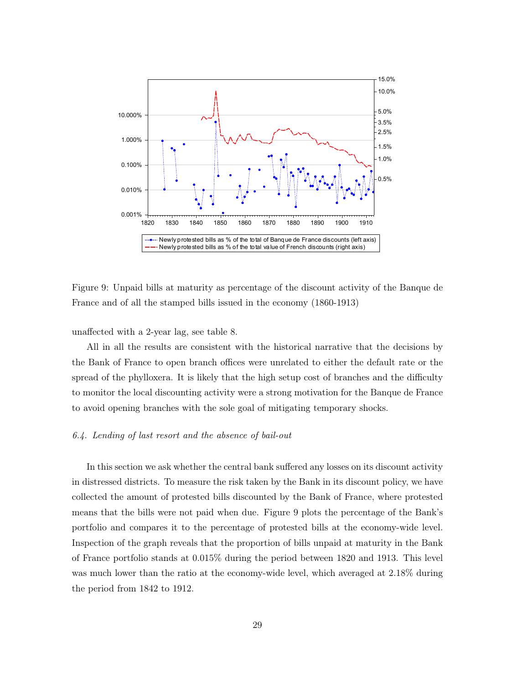

Figure 9: Unpaid bills at maturity as percentage of the discount activity of the Banque de France and of all the stamped bills issued in the economy (1860-1913)

unaffected with a 2-year lag, see table 8.

All in all the results are consistent with the historical narrative that the decisions by the Bank of France to open branch offices were unrelated to either the default rate or the spread of the phylloxera. It is likely that the high setup cost of branches and the difficulty to monitor the local discounting activity were a strong motivation for the Banque de France to avoid opening branches with the sole goal of mitigating temporary shocks.

#### 6.4. Lending of last resort and the absence of bail-out

In this section we ask whether the central bank suffered any losses on its discount activity in distressed districts. To measure the risk taken by the Bank in its discount policy, we have collected the amount of protested bills discounted by the Bank of France, where protested means that the bills were not paid when due. Figure 9 plots the percentage of the Bank's portfolio and compares it to the percentage of protested bills at the economy-wide level. Inspection of the graph reveals that the proportion of bills unpaid at maturity in the Bank of France portfolio stands at 0.015% during the period between 1820 and 1913. This level was much lower than the ratio at the economy-wide level, which averaged at 2.18% during the period from 1842 to 1912.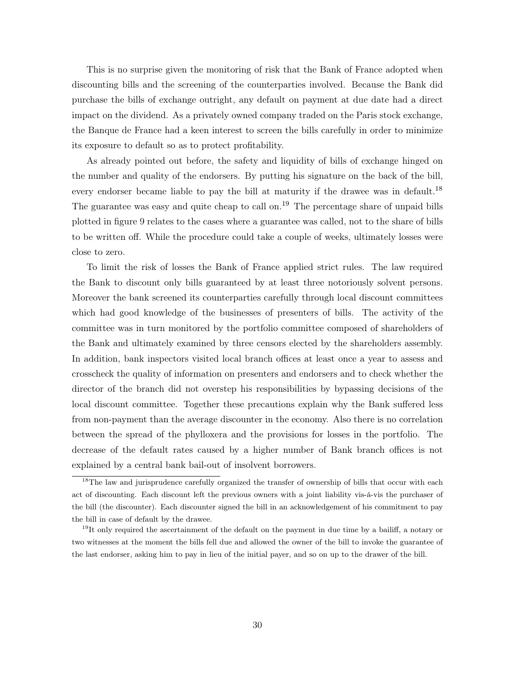This is no surprise given the monitoring of risk that the Bank of France adopted when discounting bills and the screening of the counterparties involved. Because the Bank did purchase the bills of exchange outright, any default on payment at due date had a direct impact on the dividend. As a privately owned company traded on the Paris stock exchange, the Banque de France had a keen interest to screen the bills carefully in order to minimize its exposure to default so as to protect profitability.

As already pointed out before, the safety and liquidity of bills of exchange hinged on the number and quality of the endorsers. By putting his signature on the back of the bill, every endorser became liable to pay the bill at maturity if the drawee was in default.<sup>18</sup> The guarantee was easy and quite cheap to call on.<sup>19</sup> The percentage share of unpaid bills plotted in figure 9 relates to the cases where a guarantee was called, not to the share of bills to be written off. While the procedure could take a couple of weeks, ultimately losses were close to zero.

To limit the risk of losses the Bank of France applied strict rules. The law required the Bank to discount only bills guaranteed by at least three notoriously solvent persons. Moreover the bank screened its counterparties carefully through local discount committees which had good knowledge of the businesses of presenters of bills. The activity of the committee was in turn monitored by the portfolio committee composed of shareholders of the Bank and ultimately examined by three censors elected by the shareholders assembly. In addition, bank inspectors visited local branch offices at least once a year to assess and crosscheck the quality of information on presenters and endorsers and to check whether the director of the branch did not overstep his responsibilities by bypassing decisions of the local discount committee. Together these precautions explain why the Bank suffered less from non-payment than the average discounter in the economy. Also there is no correlation between the spread of the phylloxera and the provisions for losses in the portfolio. The decrease of the default rates caused by a higher number of Bank branch offices is not explained by a central bank bail-out of insolvent borrowers.

<sup>&</sup>lt;sup>18</sup>The law and jurisprudence carefully organized the transfer of ownership of bills that occur with each act of discounting. Each discount left the previous owners with a joint liability vis-á-vis the purchaser of the bill (the discounter). Each discounter signed the bill in an acknowledgement of his commitment to pay the bill in case of default by the drawee.

 $19$ It only required the ascertainment of the default on the payment in due time by a bailiff, a notary or two witnesses at the moment the bills fell due and allowed the owner of the bill to invoke the guarantee of the last endorser, asking him to pay in lieu of the initial payer, and so on up to the drawer of the bill.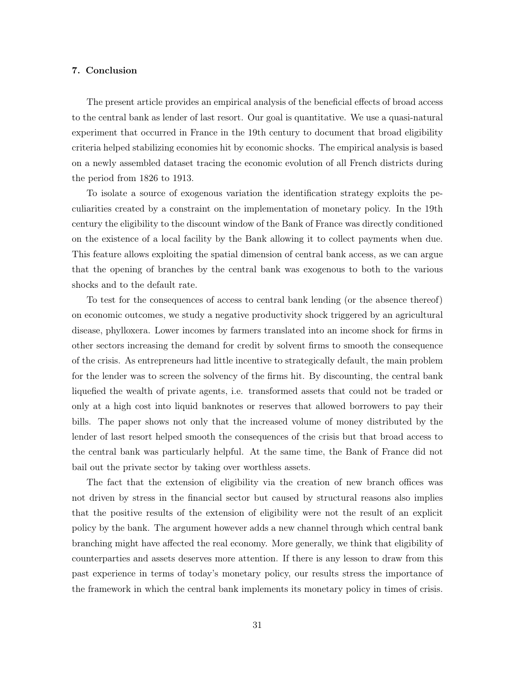# 7. Conclusion

The present article provides an empirical analysis of the beneficial effects of broad access to the central bank as lender of last resort. Our goal is quantitative. We use a quasi-natural experiment that occurred in France in the 19th century to document that broad eligibility criteria helped stabilizing economies hit by economic shocks. The empirical analysis is based on a newly assembled dataset tracing the economic evolution of all French districts during the period from 1826 to 1913.

To isolate a source of exogenous variation the identification strategy exploits the peculiarities created by a constraint on the implementation of monetary policy. In the 19th century the eligibility to the discount window of the Bank of France was directly conditioned on the existence of a local facility by the Bank allowing it to collect payments when due. This feature allows exploiting the spatial dimension of central bank access, as we can argue that the opening of branches by the central bank was exogenous to both to the various shocks and to the default rate.

To test for the consequences of access to central bank lending (or the absence thereof) on economic outcomes, we study a negative productivity shock triggered by an agricultural disease, phylloxera. Lower incomes by farmers translated into an income shock for firms in other sectors increasing the demand for credit by solvent firms to smooth the consequence of the crisis. As entrepreneurs had little incentive to strategically default, the main problem for the lender was to screen the solvency of the firms hit. By discounting, the central bank liquefied the wealth of private agents, i.e. transformed assets that could not be traded or only at a high cost into liquid banknotes or reserves that allowed borrowers to pay their bills. The paper shows not only that the increased volume of money distributed by the lender of last resort helped smooth the consequences of the crisis but that broad access to the central bank was particularly helpful. At the same time, the Bank of France did not bail out the private sector by taking over worthless assets.

The fact that the extension of eligibility via the creation of new branch offices was not driven by stress in the financial sector but caused by structural reasons also implies that the positive results of the extension of eligibility were not the result of an explicit policy by the bank. The argument however adds a new channel through which central bank branching might have affected the real economy. More generally, we think that eligibility of counterparties and assets deserves more attention. If there is any lesson to draw from this past experience in terms of today's monetary policy, our results stress the importance of the framework in which the central bank implements its monetary policy in times of crisis.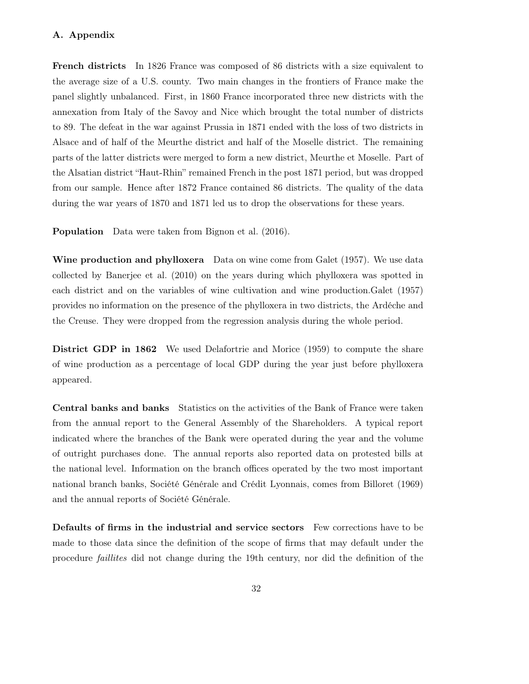# A. Appendix

French districts In 1826 France was composed of 86 districts with a size equivalent to the average size of a U.S. county. Two main changes in the frontiers of France make the panel slightly unbalanced. First, in 1860 France incorporated three new districts with the annexation from Italy of the Savoy and Nice which brought the total number of districts to 89. The defeat in the war against Prussia in 1871 ended with the loss of two districts in Alsace and of half of the Meurthe district and half of the Moselle district. The remaining parts of the latter districts were merged to form a new district, Meurthe et Moselle. Part of the Alsatian district "Haut-Rhin" remained French in the post 1871 period, but was dropped from our sample. Hence after 1872 France contained 86 districts. The quality of the data during the war years of 1870 and 1871 led us to drop the observations for these years.

Population Data were taken from Bignon et al. (2016).

Wine production and phylloxera Data on wine come from Galet (1957). We use data collected by Banerjee et al. (2010) on the years during which phylloxera was spotted in each district and on the variables of wine cultivation and wine production.Galet (1957) provides no information on the presence of the phylloxera in two districts, the Ardéche and the Creuse. They were dropped from the regression analysis during the whole period.

District GDP in 1862 We used Delafortrie and Morice (1959) to compute the share of wine production as a percentage of local GDP during the year just before phylloxera appeared.

Central banks and banks Statistics on the activities of the Bank of France were taken from the annual report to the General Assembly of the Shareholders. A typical report indicated where the branches of the Bank were operated during the year and the volume of outright purchases done. The annual reports also reported data on protested bills at the national level. Information on the branch offices operated by the two most important national branch banks, Société Générale and Crédit Lyonnais, comes from Billoret (1969) and the annual reports of Société Générale.

Defaults of firms in the industrial and service sectors Few corrections have to be made to those data since the definition of the scope of firms that may default under the procedure faillites did not change during the 19th century, nor did the definition of the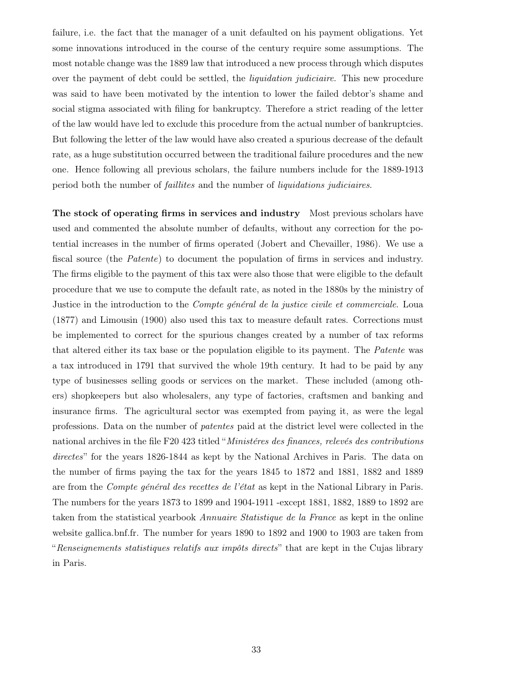failure, i.e. the fact that the manager of a unit defaulted on his payment obligations. Yet some innovations introduced in the course of the century require some assumptions. The most notable change was the 1889 law that introduced a new process through which disputes over the payment of debt could be settled, the *liquidation judiciaire*. This new procedure was said to have been motivated by the intention to lower the failed debtor's shame and social stigma associated with filing for bankruptcy. Therefore a strict reading of the letter of the law would have led to exclude this procedure from the actual number of bankruptcies. But following the letter of the law would have also created a spurious decrease of the default rate, as a huge substitution occurred between the traditional failure procedures and the new one. Hence following all previous scholars, the failure numbers include for the 1889-1913 period both the number of faillites and the number of liquidations judiciaires.

The stock of operating firms in services and industry Most previous scholars have used and commented the absolute number of defaults, without any correction for the potential increases in the number of firms operated (Jobert and Chevailler, 1986). We use a fiscal source (the *Patente*) to document the population of firms in services and industry. The firms eligible to the payment of this tax were also those that were eligible to the default procedure that we use to compute the default rate, as noted in the 1880s by the ministry of Justice in the introduction to the *Compte général de la justice civile et commerciale*. Loua (1877) and Limousin (1900) also used this tax to measure default rates. Corrections must be implemented to correct for the spurious changes created by a number of tax reforms that altered either its tax base or the population eligible to its payment. The Patente was a tax introduced in 1791 that survived the whole 19th century. It had to be paid by any type of businesses selling goods or services on the market. These included (among others) shopkeepers but also wholesalers, any type of factories, craftsmen and banking and insurance firms. The agricultural sector was exempted from paying it, as were the legal professions. Data on the number of patentes paid at the district level were collected in the national archives in the file F20 423 titled "Ministéres des finances, relevés des contributions directes" for the years 1826-1844 as kept by the National Archives in Paris. The data on the number of firms paying the tax for the years 1845 to 1872 and 1881, 1882 and 1889 are from the Compte général des recettes de l'état as kept in the National Library in Paris. The numbers for the years 1873 to 1899 and 1904-1911 -except 1881, 1882, 1889 to 1892 are taken from the statistical yearbook Annuaire Statistique de la France as kept in the online website gallica.bnf.fr. The number for years 1890 to 1892 and 1900 to 1903 are taken from "Renseignements statistiques relatifs aux impôts directs" that are kept in the Cujas library in Paris.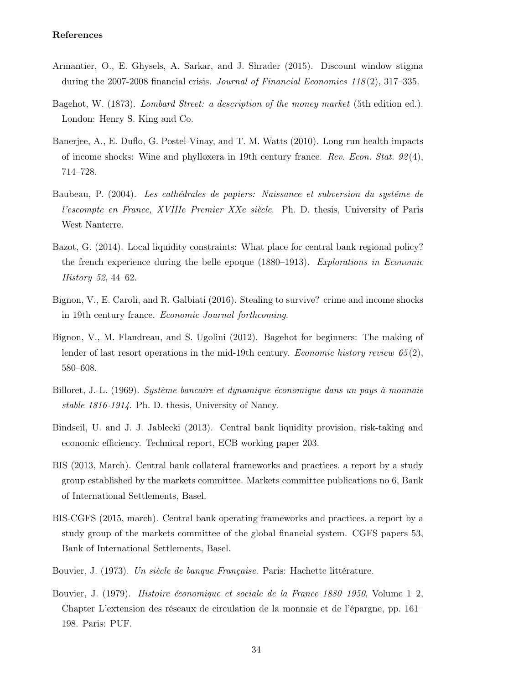- Armantier, O., E. Ghysels, A. Sarkar, and J. Shrader (2015). Discount window stigma during the  $2007-2008$  financial crisis. *Journal of Financial Economics 118* $(2)$ , 317–335.
- Bagehot, W. (1873). Lombard Street: a description of the money market (5th edition ed.). London: Henry S. King and Co.
- Banerjee, A., E. Duflo, G. Postel-Vinay, and T. M. Watts (2010). Long run health impacts of income shocks: Wine and phylloxera in 19th century france. Rev. Econ. Stat.  $92(4)$ , 714–728.
- Baubeau, P. (2004). Les cathédrales de papiers: Naissance et subversion du systéme de l'escompte en France, XVIIIe–Premier XXe siècle. Ph. D. thesis, University of Paris West Nanterre.
- Bazot, G. (2014). Local liquidity constraints: What place for central bank regional policy? the french experience during the belle epoque (1880–1913). Explorations in Economic History 52, 44–62.
- Bignon, V., E. Caroli, and R. Galbiati (2016). Stealing to survive? crime and income shocks in 19th century france. Economic Journal forthcoming.
- Bignon, V., M. Flandreau, and S. Ugolini (2012). Bagehot for beginners: The making of lender of last resort operations in the mid-19th century. *Economic history review*  $65(2)$ , 580–608.
- Billoret, J.-L. (1969). Système bancaire et dynamique économique dans un pays à monnaie stable 1816-1914. Ph. D. thesis, University of Nancy.
- Bindseil, U. and J. J. Jablecki (2013). Central bank liquidity provision, risk-taking and economic efficiency. Technical report, ECB working paper 203.
- BIS (2013, March). Central bank collateral frameworks and practices. a report by a study group established by the markets committee. Markets committee publications no 6, Bank of International Settlements, Basel.
- BIS-CGFS (2015, march). Central bank operating frameworks and practices. a report by a study group of the markets committee of the global financial system. CGFS papers 53, Bank of International Settlements, Basel.
- Bouvier, J. (1973). Un siècle de banque Française. Paris: Hachette littérature.
- Bouvier, J. (1979). Histoire économique et sociale de la France 1880–1950, Volume 1–2, Chapter L'extension des réseaux de circulation de la monnaie et de l'épargne, pp. 161– 198. Paris: PUF.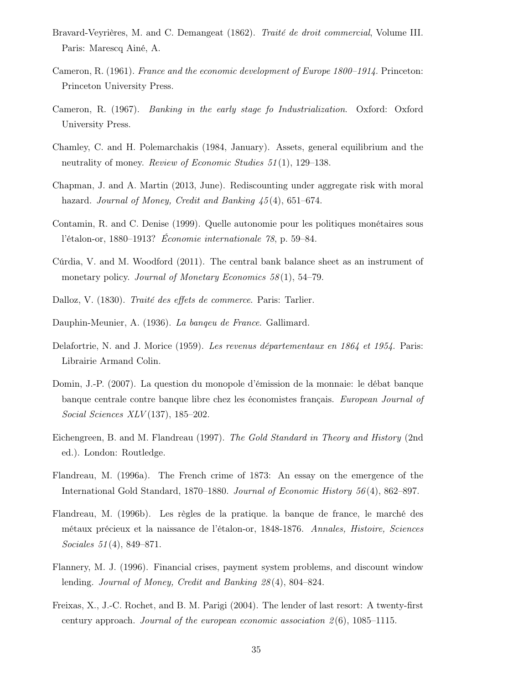- Bravard-Veyrières, M. and C. Demangeat (1862). Traité de droit commercial, Volume III. Paris: Marescq Ainé, A.
- Cameron, R. (1961). France and the economic development of Europe 1800–1914. Princeton: Princeton University Press.
- Cameron, R. (1967). Banking in the early stage fo Industrialization. Oxford: Oxford University Press.
- Chamley, C. and H. Polemarchakis (1984, January). Assets, general equilibrium and the neutrality of money. *Review of Economic Studies* 51(1), 129–138.
- Chapman, J. and A. Martin (2013, June). Rediscounting under aggregate risk with moral hazard. Journal of Money, Credit and Banking  $\mu$ 5(4), 651–674.
- Contamin, R. and C. Denise (1999). Quelle autonomie pour les politiques monétaires sous l'étalon-or, 1880–1913? Économie internationale 78, p. 59–84.
- Cúrdia, V. and M. Woodford (2011). The central bank balance sheet as an instrument of monetary policy. *Journal of Monetary Economics* 58(1), 54–79.
- Dalloz, V. (1830). Traité des effets de commerce. Paris: Tarlier.
- Dauphin-Meunier, A. (1936). La banqeu de France. Gallimard.
- Delafortrie, N. and J. Morice (1959). Les revenus départementaux en 1864 et 1954. Paris: Librairie Armand Colin.
- Domin, J.-P. (2007). La question du monopole d'émission de la monnaie: le débat banque banque centrale contre banque libre chez les économistes français. European Journal of Social Sciences XLV (137), 185–202.
- Eichengreen, B. and M. Flandreau (1997). The Gold Standard in Theory and History (2nd ed.). London: Routledge.
- Flandreau, M. (1996a). The French crime of 1873: An essay on the emergence of the International Gold Standard, 1870–1880. Journal of Economic History 56 (4), 862–897.
- Flandreau, M. (1996b). Les règles de la pratique. la banque de france, le marché des métaux précieux et la naissance de l'étalon-or, 1848-1876. Annales, Histoire, Sciences Sociales 51 (4), 849–871.
- Flannery, M. J. (1996). Financial crises, payment system problems, and discount window lending. Journal of Money, Credit and Banking 28 (4), 804–824.
- Freixas, X., J.-C. Rochet, and B. M. Parigi (2004). The lender of last resort: A twenty-first century approach. Journal of the european economic association  $2(6)$ , 1085–1115.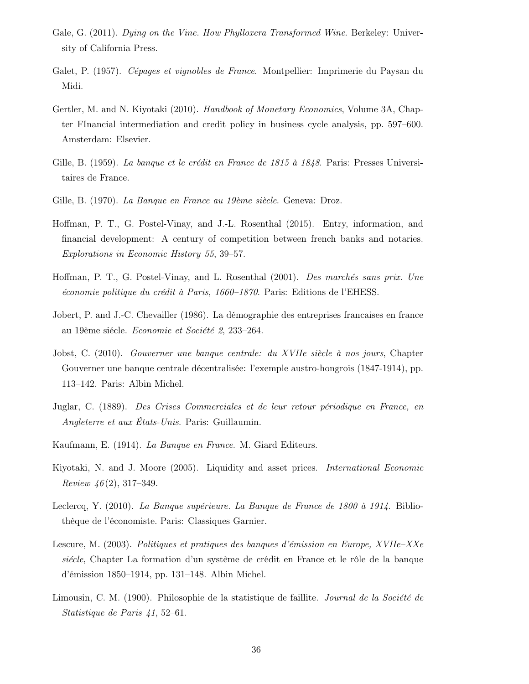- Gale, G. (2011). Dying on the Vine. How Phylloxera Transformed Wine. Berkeley: University of California Press.
- Galet, P. (1957). Cépages et vignobles de France. Montpellier: Imprimerie du Paysan du Midi.
- Gertler, M. and N. Kiyotaki (2010). Handbook of Monetary Economics, Volume 3A, Chapter FInancial intermediation and credit policy in business cycle analysis, pp. 597–600. Amsterdam: Elsevier.
- Gille, B. (1959). La banque et le crédit en France de 1815 à 1848. Paris: Presses Universitaires de France.
- Gille, B. (1970). La Banque en France au 19ème siècle. Geneva: Droz.
- Hoffman, P. T., G. Postel-Vinay, and J.-L. Rosenthal (2015). Entry, information, and financial development: A century of competition between french banks and notaries. Explorations in Economic History 55, 39–57.
- Hoffman, P. T., G. Postel-Vinay, and L. Rosenthal (2001). Des marchés sans prix. Une économie politique du crédit à Paris, 1660–1870. Paris: Editions de l'EHESS.
- Jobert, P. and J.-C. Chevailler (1986). La démographie des entreprises francaises en france au 19ème siécle. Economie et Société 2, 233–264.
- Jobst, C. (2010). Gouverner une banque centrale: du XVIIe siècle à nos jours, Chapter Gouverner une banque centrale décentralisée: l'exemple austro-hongrois (1847-1914), pp. 113–142. Paris: Albin Michel.
- Juglar, C. (1889). Des Crises Commerciales et de leur retour périodique en France, en Angleterre et aux États-Unis. Paris: Guillaumin.
- Kaufmann, E. (1914). La Banque en France. M. Giard Editeurs.
- Kiyotaki, N. and J. Moore (2005). Liquidity and asset prices. International Economic Review  $46(2)$ , 317–349.
- Leclercq, Y. (2010). La Banque supérieure. La Banque de France de 1800 à 1914. Bibliothèque de l'économiste. Paris: Classiques Garnier.
- Lescure, M. (2003). Politiques et pratiques des banques d'émission en Europe, XVIIe–XXe siécle, Chapter La formation d'un système de crédit en France et le rôle de la banque d'émission 1850–1914, pp. 131–148. Albin Michel.
- Limousin, C. M. (1900). Philosophie de la statistique de faillite. Journal de la Société de Statistique de Paris 41, 52–61.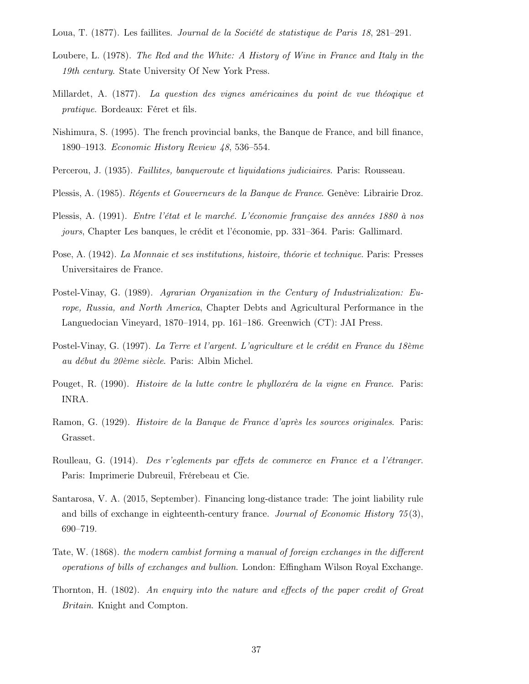Loua, T. (1877). Les faillites. Journal de la Société de statistique de Paris 18, 281–291.

- Loubere, L. (1978). The Red and the White: A History of Wine in France and Italy in the 19th century. State University Of New York Press.
- Millardet, A. (1877). La question des vignes américaines du point de vue théoqique et pratique. Bordeaux: Féret et fils.
- Nishimura, S. (1995). The french provincial banks, the Banque de France, and bill finance, 1890–1913. Economic History Review 48, 536–554.
- Percerou, J. (1935). Faillites, banqueroute et liquidations judiciaires. Paris: Rousseau.
- Plessis, A. (1985). Régents et Gouverneurs de la Banque de France. Genève: Librairie Droz.
- Plessis, A. (1991). Entre l'état et le marché. L'économie française des années 1880 à nos jours, Chapter Les banques, le crédit et l'économie, pp. 331–364. Paris: Gallimard.
- Pose, A. (1942). La Monnaie et ses institutions, histoire, théorie et technique. Paris: Presses Universitaires de France.
- Postel-Vinay, G. (1989). Agrarian Organization in the Century of Industrialization: Europe, Russia, and North America, Chapter Debts and Agricultural Performance in the Languedocian Vineyard, 1870–1914, pp. 161–186. Greenwich (CT): JAI Press.
- Postel-Vinay, G. (1997). La Terre et l'argent. L'agriculture et le crédit en France du 18ème au début du 20ème siècle. Paris: Albin Michel.
- Pouget, R. (1990). Histoire de la lutte contre le phylloxéra de la vigne en France. Paris: INRA.
- Ramon, G. (1929). Histoire de la Banque de France d'après les sources originales. Paris: Grasset.
- Roulleau, G. (1914). Des r'eglements par effets de commerce en France et a l'étranger. Paris: Imprimerie Dubreuil, Frérebeau et Cie.
- Santarosa, V. A. (2015, September). Financing long-distance trade: The joint liability rule and bills of exchange in eighteenth-century france. Journal of Economic History  $\frac{75(3)}{3}$ , 690–719.
- Tate, W. (1868). the modern cambist forming a manual of foreign exchanges in the different operations of bills of exchanges and bullion. London: Effingham Wilson Royal Exchange.
- Thornton, H. (1802). An enquiry into the nature and effects of the paper credit of Great Britain. Knight and Compton.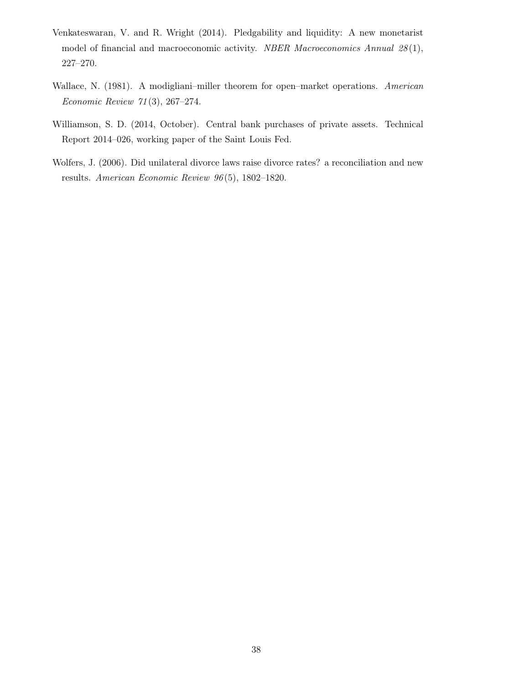- Venkateswaran, V. and R. Wright (2014). Pledgability and liquidity: A new monetarist model of financial and macroeconomic activity. NBER Macroeconomics Annual  $28(1)$ , 227–270.
- Wallace, N. (1981). A modigliani–miller theorem for open–market operations. American Economic Review 71 (3), 267–274.
- Williamson, S. D. (2014, October). Central bank purchases of private assets. Technical Report 2014–026, working paper of the Saint Louis Fed.
- Wolfers, J. (2006). Did unilateral divorce laws raise divorce rates? a reconciliation and new results. American Economic Review 96 (5), 1802–1820.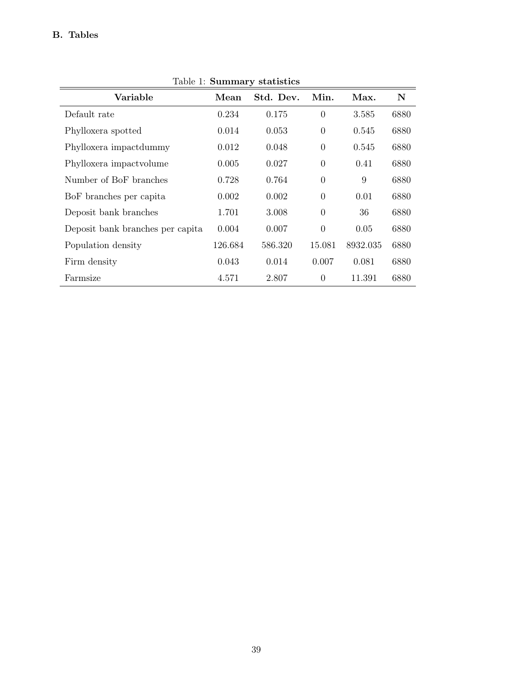| Lable 1. Dullillial y statistics |         |           |          |          |      |  |  |  |
|----------------------------------|---------|-----------|----------|----------|------|--|--|--|
| Variable                         | Mean    | Std. Dev. | Min.     | Max.     | N    |  |  |  |
| Default rate                     | 0.234   | 0.175     | $\theta$ | 3.585    | 6880 |  |  |  |
| Phylloxera spotted               | 0.014   | 0.053     | $\theta$ | 0.545    | 6880 |  |  |  |
| Phylloxera impactdummy           | 0.012   | 0.048     | $\theta$ | 0.545    | 6880 |  |  |  |
| Phylloxera impact volume         | 0.005   | 0.027     | $\theta$ | 0.41     | 6880 |  |  |  |
| Number of BoF branches           | 0.728   | 0.764     | $\theta$ | 9        | 6880 |  |  |  |
| BoF branches per capita          | 0.002   | 0.002     | $\theta$ | 0.01     | 6880 |  |  |  |
| Deposit bank branches            | 1.701   | 3.008     | $\theta$ | 36       | 6880 |  |  |  |
| Deposit bank branches per capita | 0.004   | 0.007     | $\theta$ | 0.05     | 6880 |  |  |  |
| Population density               | 126.684 | 586.320   | 15.081   | 8932.035 | 6880 |  |  |  |
| Firm density                     | 0.043   | 0.014     | 0.007    | 0.081    | 6880 |  |  |  |
| Farmsize                         | 4.571   | 2.807     | $\theta$ | 11.391   | 6880 |  |  |  |

Table 1: Summary statistics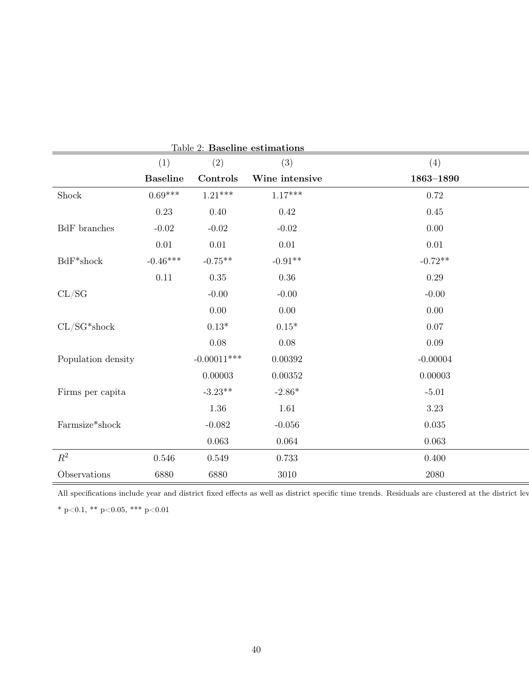|                         | (1)             | Table 2. Daseline estimations<br>(2) | (3)            | (4)           |
|-------------------------|-----------------|--------------------------------------|----------------|---------------|
|                         | <b>Baseline</b> | Controls                             | Wine intensive | $1863 - 1890$ |
| Shock                   | $0.69***$       | $1.21***$                            | $1.17***$      | 0.72          |
|                         | $0.23\,$        | $0.40\,$                             | 0.42           | 0.45          |
| BdF branches            | $-0.02$         | $-0.02$                              | $-0.02$        | 0.00          |
|                         | $0.01\,$        | $0.01\,$                             | $0.01\,$       | $0.01\,$      |
| $\mathrm{BdF^{*}shock}$ | $-0.46***$      | $-0.75**$                            | $-0.91**$      | $-0.72**$     |
|                         | 0.11            | $0.35\,$                             | $0.36\,$       | 0.29          |
| CL/SG                   |                 | $-0.00$                              | $-0.00$        | $-0.00$       |
|                         |                 | $0.00\,$                             | $0.00\,$       | 0.00          |
| $CL/SG*shock$           |                 | $0.13^{\ast}$                        | $0.15^{\ast}$  | $0.07\,$      |
|                         |                 | $0.08\,$                             | $0.08\,$       | $0.09\,$      |
| Population density      |                 | $-0.00011***$                        | 0.00392        | $-0.00004$    |
|                         |                 | 0.00003                              | 0.00352        | 0.00003       |
| Firms per capita        |                 | $-3.23**$                            | $-2.86*$       | $-5.01$       |
|                         |                 | $1.36\,$                             | 1.61           | 3.23          |
| Farmsize*shock          |                 | $-0.082$                             | $-0.056$       | $0.035\,$     |
|                         |                 | 0.063                                | $0.064\,$      | 0.063         |
| $\mathbb{R}^2$          | 0.546           | 0.549                                | 0.733          | 0.400         |
| Observations            | 6880            | 6880                                 | $3010\,$       | 2080          |

Table 2: Baseline estimations

All specifications include year and district fixed effects as well as district specific time trends. Residuals are clustered at the district lev

\* p<0.1, \*\* p<0.05, \*\*\* p<0.01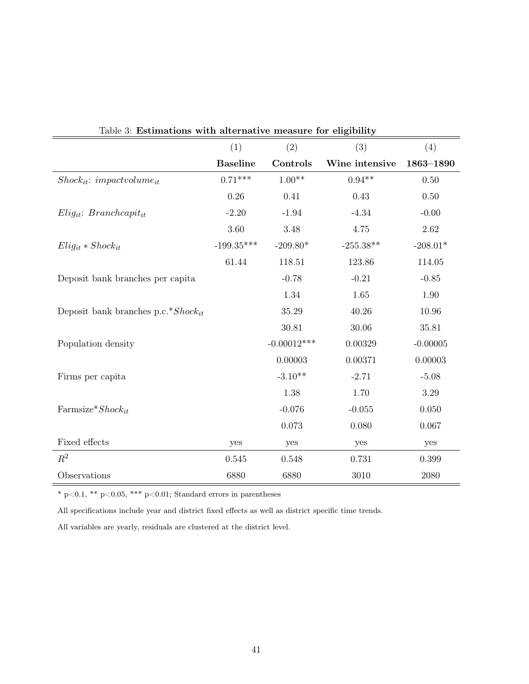| Estimations with alternative measure for engibility |                 |               |                |            |
|-----------------------------------------------------|-----------------|---------------|----------------|------------|
|                                                     | (1)             | (2)           | (3)            | (4)        |
|                                                     | <b>Baseline</b> | Controls      | Wine intensive | 1863-1890  |
| $Shock_{it}: impactvolume_{it}$                     | $0.71***$       | $1.00**$      | $0.94**$       | 0.50       |
|                                                     | 0.26            | 0.41          | 0.43           | 0.50       |
| $Elig_{it}$ : Branchcapit <sub>it</sub>             | $-2.20$         | $-1.94$       | $-4.34$        | $-0.00$    |
|                                                     | 3.60            | 3.48          | 4.75           | 2.62       |
| $Elig_{it} * Shock_{it}$                            | $-199.35***$    | $-209.80*$    | $-255.38**$    | $-208.01*$ |
|                                                     | 61.44           | 118.51        | 123.86         | 114.05     |
| Deposit bank branches per capita                    |                 | $-0.78$       | $-0.21$        | $-0.85$    |
|                                                     |                 | 1.34          | 1.65           | 1.90       |
| Deposit bank branches p.c.*Shock <sub>it</sub>      |                 | 35.29         | 40.26          | 10.96      |
|                                                     |                 | 30.81         | 30.06          | 35.81      |
| Population density                                  |                 | $-0.00012***$ | 0.00329        | $-0.00005$ |
|                                                     |                 | 0.00003       | 0.00371        | 0.00003    |
| Firms per capita                                    |                 | $-3.10**$     | $-2.71$        | $-5.08$    |
|                                                     |                 | 1.38          | 1.70           | $3.29\,$   |
| Farmsize* $Shock_{it}$                              |                 | $-0.076$      | $-0.055$       | 0.050      |
|                                                     |                 | 0.073         | 0.080          | 0.067      |
| Fixed effects                                       | yes             | yes           | yes            | yes        |
| $R^2$                                               | 0.545           | 0.548         | 0.731          | 0.399      |
| Observations                                        | 6880            | 6880          | 3010           | 2080       |

|  | Table 3: Estimations with alternative measure for eligibility |  |  |  |  |  |
|--|---------------------------------------------------------------|--|--|--|--|--|
|--|---------------------------------------------------------------|--|--|--|--|--|

 $^*$  p<0.1,  $^{**}$  p<0.05,  $^{***}$  p<0.01; Standard errors in parentheses

All specifications include year and district fixed effects as well as district specific time trends.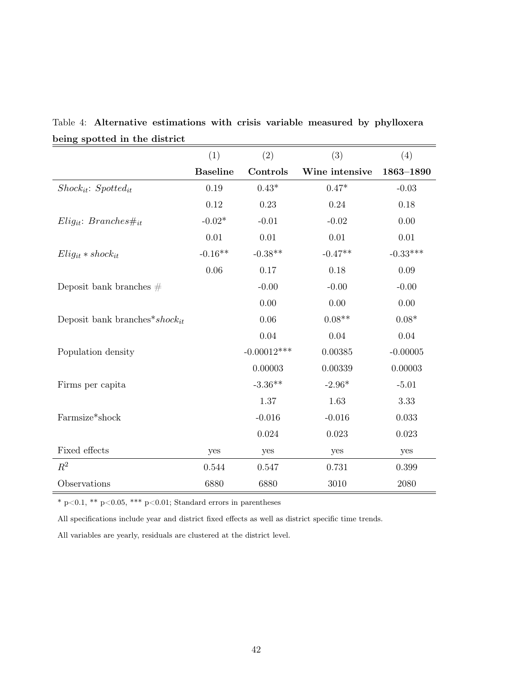| $_{\rm spec}$ and $_{\rm circ}$ and $_{\rm acc}$ | (1)             | (2)           | (3)            | (4)           |
|--------------------------------------------------|-----------------|---------------|----------------|---------------|
|                                                  | <b>Baseline</b> | Controls      | Wine intensive | 1863-1890     |
| $Shock_{it}: Spotted_{it}$                       | 0.19            | $0.43^{\ast}$ | $0.47^{\ast}$  | $-0.03$       |
|                                                  | 0.12            | 0.23          | 0.24           | 0.18          |
| $Elig_{it}: Branches\#_{it}$                     | $-0.02*$        | $-0.01$       | $-0.02$        | 0.00          |
|                                                  | 0.01            | 0.01          | 0.01           | 0.01          |
| $Elig_{it} * shock_{it}$                         | $-0.16**$       | $-0.38**$     | $-0.47**$      | $-0.33***$    |
|                                                  | 0.06            | 0.17          | 0.18           | $0.09\,$      |
| Deposit bank branches $#$                        |                 | $-0.00$       | $-0.00$        | $-0.00$       |
|                                                  |                 | 0.00          | 0.00           | 0.00          |
| Deposit bank branches*shock <sub>it</sub>        |                 | 0.06          | $0.08**$       | $0.08^{\ast}$ |
|                                                  |                 | $0.04\,$      | 0.04           | 0.04          |
| Population density                               |                 | $-0.00012***$ | 0.00385        | $-0.00005$    |
|                                                  |                 | 0.00003       | 0.00339        | 0.00003       |
| Firms per capita                                 |                 | $-3.36**$     | $-2.96*$       | $-5.01$       |
|                                                  |                 | 1.37          | 1.63           | 3.33          |
| Farmsize*shock                                   |                 | $-0.016$      | $-0.016$       | 0.033         |
|                                                  |                 | 0.024         | 0.023          | 0.023         |
| Fixed effects                                    | yes             | yes           | yes            | yes           |
| $R^2$                                            | 0.544           | 0.547         | 0.731          | 0.399         |
| Observations                                     | 6880            | 6880          | 3010           | 2080          |

Table 4: Alternative estimations with crisis variable measured by phylloxera being spotted in the district

 $^*$  p<0.1,  $^{**}$  p<0.05,  $^{***}$  p<0.01; Standard errors in parentheses

All specifications include year and district fixed effects as well as district specific time trends.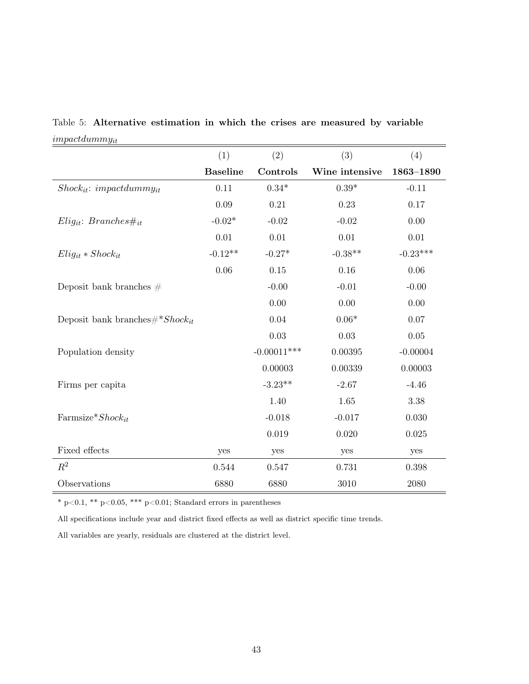|                                         | (1)             | (2)           | (3)            | (4)        |
|-----------------------------------------|-----------------|---------------|----------------|------------|
|                                         | <b>Baseline</b> | Controls      | Wine intensive | 1863-1890  |
| $Shock_{it}: impact dummy_{it}$         | 0.11            | $0.34^{\ast}$ | $0.39^{\ast}$  | $-0.11$    |
|                                         | 0.09            | 0.21          | 0.23           | 0.17       |
| $Elig_{it}: Branches\#_{it}$            | $-0.02*$        | $-0.02$       | $-0.02$        | 0.00       |
|                                         | 0.01            | 0.01          | 0.01           | $0.01\,$   |
| $Elig_{it} * Shock_{it}$                | $-0.12**$       | $-0.27*$      | $-0.38**$      | $-0.23***$ |
|                                         | 0.06            | 0.15          | 0.16           | 0.06       |
| Deposit bank branches $#$               |                 | $-0.00$       | $-0.01$        | $-0.00$    |
|                                         |                 | 0.00          | 0.00           | 0.00       |
| Deposit bank branches $\#^* Shock_{it}$ |                 | 0.04          | $0.06*$        | 0.07       |
|                                         |                 | $0.03\,$      | 0.03           | 0.05       |
| Population density                      |                 | $-0.00011***$ | 0.00395        | $-0.00004$ |
|                                         |                 | 0.00003       | 0.00339        | 0.00003    |
| Firms per capita                        |                 | $-3.23**$     | $-2.67$        | $-4.46$    |
|                                         |                 | 1.40          | 1.65           | 3.38       |
| Farmsize* $Shock_{it}$                  |                 | $-0.018$      | $-0.017$       | 0.030      |
|                                         |                 | 0.019         | 0.020          | 0.025      |
| Fixed effects                           | yes             | yes           | yes            | yes        |
| $R^2$                                   | 0.544           | 0.547         | 0.731          | 0.398      |
| Observations                            | 6880            | 6880          | 3010           | 2080       |

Table 5: Alternative estimation in which the crises are measured by variable  $impact dummy_{it}$ 

 $^*$  p<0.1,  $^{**}$  p<0.05,  $^{***}$  p<0.01; Standard errors in parentheses

All specifications include year and district fixed effects as well as district specific time trends.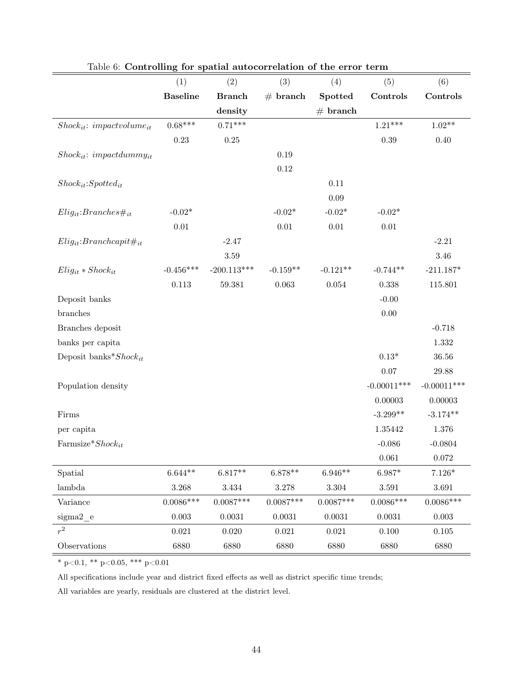|                                    | (1)             | (2)           | (3)         | (4)         | (5)           | (6)           |
|------------------------------------|-----------------|---------------|-------------|-------------|---------------|---------------|
|                                    | <b>Baseline</b> | <b>Branch</b> | # branch    | Spotted     | Controls      | Controls      |
|                                    |                 | density       |             | # branch    |               |               |
| $Shock_{it}: impactvolume_{it}$    | $0.68***$       | $0.71***$     |             |             | $1.21***$     | $1.02**$      |
|                                    | $0.23\,$        | $0.25\,$      |             |             | 0.39          | 0.40          |
| $Shock_{it}: impact dummy_{it}$    |                 |               | 0.19        |             |               |               |
|                                    |                 |               | 0.12        |             |               |               |
| $Shock_{it}:Spotted_{it}$          |                 |               |             | 0.11        |               |               |
|                                    |                 |               |             | 0.09        |               |               |
| $Elig_{it}: Branches\#_{it}$       | $-0.02*$        |               | $-0.02*$    | $-0.02*$    | $-0.02*$      |               |
|                                    | $0.01\,$        |               | $0.01\,$    | $0.01\,$    | $0.01\,$      |               |
| $Elig_{it}$ : Branchcapit# $_{it}$ |                 | $-2.47$       |             |             |               | $-2.21$       |
|                                    |                 | $3.59\,$      |             |             |               | $3.46\,$      |
| $Elig_{it} * Shock_{it}$           | $-0.456***$     | $-200.113***$ | $-0.159**$  | $-0.121**$  | $-0.744**$    | $-211.187*$   |
|                                    | 0.113           | 59.381        | 0.063       | $0.054\,$   | 0.338         | 115.801       |
| Deposit banks                      |                 |               |             |             | $-0.00$       |               |
| branches                           |                 |               |             |             | $0.00\,$      |               |
| Branches deposit                   |                 |               |             |             |               | $-0.718$      |
| banks per capita                   |                 |               |             |             |               | 1.332         |
| Deposit banks* $Shock_{it}$        |                 |               |             |             | $0.13*$       | 36.56         |
|                                    |                 |               |             |             | 0.07          | 29.88         |
| Population density                 |                 |               |             |             | $-0.00011***$ | $-0.00011***$ |
|                                    |                 |               |             |             | 0.00003       | 0.00003       |
| Firms                              |                 |               |             |             | $-3.299**$    | $-3.174**$    |
| per capita                         |                 |               |             |             | 1.35442       | 1.376         |
| Farmsize* $Shock_{it}$             |                 |               |             |             | $-0.086$      | $-0.0804$     |
|                                    |                 |               |             |             | 0.061         | 0.072         |
| Spatial                            | $6.644**$       | $6.817**$     | $6.878**$   | $6.946**$   | $6.987*$      | $7.126*$      |
| lambda                             | 3.268           | $3.434\,$     | 3.278       | 3.304       | 3.591         | 3.691         |
| Variance                           | $0.0086***$     | $0.0087***$   | $0.0087***$ | $0.0087***$ | $0.0086***$   | $0.0086***$   |
| sigma2 e                           | $0.003\,$       | 0.0031        | 0.0031      | 0.0031      | 0.0031        | 0.003         |
| $r^2$                              | 0.021           | 0.020         | $\,0.021\,$ | $\,0.021\,$ | $0.100\,$     | $0.105\,$     |
| Observations                       | 6880            | 6880          | 6880        | 6880        | 6880          | 6880          |

Table 6: Controlling for spatial autocorrelation of the error term

\* p<0.1, \*\* p<0.05, \*\*\* p<0.01

All specifications include year and district fixed effects as well as district specific time trends;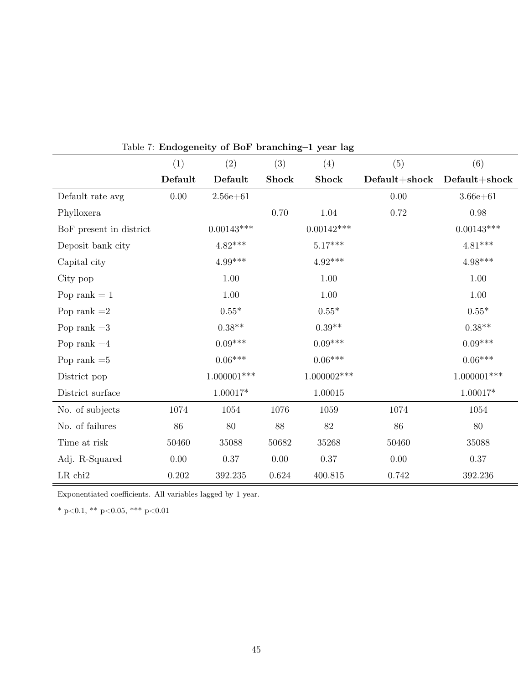|                         | (1)      | (2)           | (3)    | (4)           | (5)             | (6)                    |
|-------------------------|----------|---------------|--------|---------------|-----------------|------------------------|
|                         | Default  | Default       | Shock  | <b>Shock</b>  | $Default+shock$ | $\bf{Default}{+shock}$ |
| Default rate avg        | $0.00\,$ | $2.56e + 61$  |        |               | 0.00            | $3.66e + 61$           |
| Phylloxera              |          |               | 0.70   | 1.04          | 0.72            | $0.98\,$               |
| BoF present in district |          | $0.00143***$  |        | $0.00142***$  |                 | $0.00143***$           |
| Deposit bank city       |          | $4.82***$     |        | $5.17***$     |                 | $4.81***$              |
| Capital city            |          | $4.99***$     |        | $4.92***$     |                 | $4.98***$              |
| City pop                |          | 1.00          |        | 1.00          |                 | 1.00                   |
| Pop rank $= 1$          |          | 1.00          |        | 1.00          |                 | 1.00                   |
| Pop rank $=2$           |          | $0.55^{\ast}$ |        | $0.55*$       |                 | $0.55*$                |
| Pop rank $=3$           |          | $0.38**$      |        | $0.39**$      |                 | $0.38**$               |
| Pop rank $=4$           |          | $0.09***$     |        | $0.09***$     |                 | $0.09***$              |
| Pop rank $=5$           |          | $0.06***$     |        | $0.06***$     |                 | $0.06***$              |
| District pop            |          | $1.000001***$ |        | $1.000002***$ |                 | $1.000001***$          |
| District surface        |          | $1.00017*$    |        | 1.00015       |                 | $1.00017*$             |
| No. of subjects         | 1074     | 1054          | 1076   | 1059          | 1074            | 1054                   |
| No. of failures         | $86\,$   | 80            | $88\,$ | $82\,$        | 86              | 80                     |
| Time at risk            | 50460    | $35088\,$     | 50682  | 35268         | 50460           | $35088\,$              |
| Adj. R-Squared          | $0.00\,$ | 0.37          | 0.00   | 0.37          | 0.00            | 0.37                   |
| $LR$ chi $2$            | 0.202    | 392.235       | 0.624  | 400.815       | 0.742           | 392.236                |

Table 7: Endogeneity of BoF branching–1 year lag

Exponentiated coefficients. All variables lagged by 1 year.

\* p<0.1, \*\* p<0.05, \*\*\* p<0.01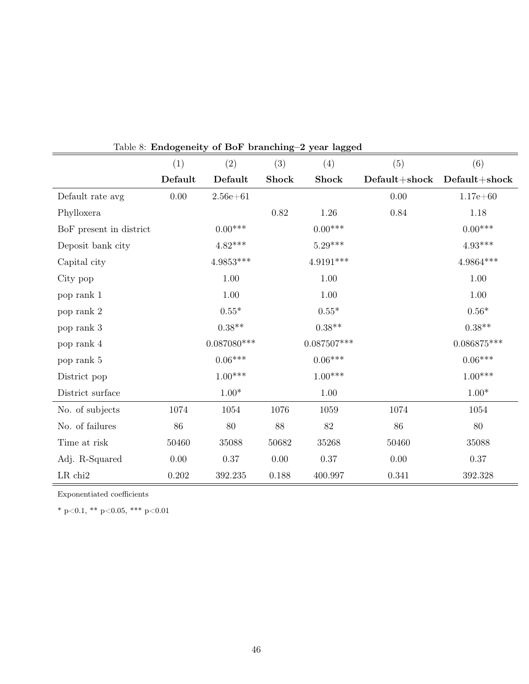|                         | (1)      | (2)           | (3)          | (4)           | (5)               | (6)             |
|-------------------------|----------|---------------|--------------|---------------|-------------------|-----------------|
|                         | Default  | Default       | <b>Shock</b> | <b>Shock</b>  | $Default + shock$ | $Default+shock$ |
| Default rate avg        | $0.00\,$ | $2.56e + 61$  |              |               | 0.00              | $1.17e + 60$    |
| Phylloxera              |          |               | 0.82         | 1.26          | 0.84              | 1.18            |
| BoF present in district |          | $0.00***$     |              | $0.00***$     |                   | $0.00***$       |
| Deposit bank city       |          | $4.82***$     |              | $5.29***$     |                   | $4.93***$       |
| Capital city            |          | $4.9853***$   |              | $4.9191***$   |                   | $4.9864***$     |
| City pop                |          | 1.00          |              | $1.00\,$      |                   | $1.00\,$        |
| pop rank 1              |          | $1.00\,$      |              | $1.00\,$      |                   | 1.00            |
| pop rank 2              |          | $0.55^{\ast}$ |              | $0.55^{\ast}$ |                   | $0.56*$         |
| pop rank 3              |          | $0.38**$      |              | $0.38**$      |                   | $0.38**$        |
| pop rank 4              |          | $0.087080***$ |              | $0.087507***$ |                   | $0.086875***$   |
| pop rank 5              |          | $0.06***$     |              | $0.06***$     |                   | $0.06***$       |
| District pop            |          | $1.00***$     |              | $1.00***$     |                   | $1.00***$       |
| District surface        |          | $1.00*$       |              | $1.00\,$      |                   | $1.00*$         |
| No. of subjects         | 1074     | 1054          | 1076         | 1059          | 1074              | 1054            |
| No. of failures         | 86       | $80\,$        | 88           | $82\,$        | 86                | 80              |
| Time at risk            | 50460    | $35088\,$     | 50682        | 35268         | 50460             | 35088           |
| Adj. R-Squared          | $0.00\,$ | $0.37\,$      | 0.00         | $0.37\,$      | 0.00              | $0.37\,$        |
| $LR$ chi $2$            | 0.202    | 392.235       | 0.188        | 400.997       | 0.341             | 392.328         |

Exponentiated coefficients

\* p<0.1, \*\* p<0.05, \*\*\* p<0.01